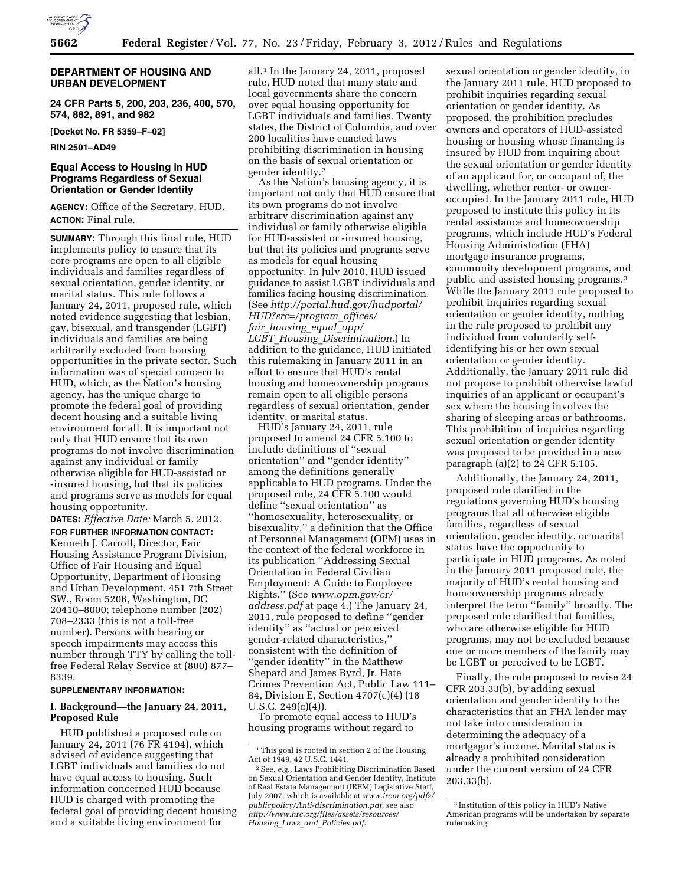

### **DEPARTMENT OF HOUSING AND URBAN DEVELOPMENT**

**24 CFR Parts 5, 200, 203, 236, 400, 570, 574, 882, 891, and 982** 

**[Docket No. FR 5359–F–02]** 

**RIN 2501–AD49** 

### **Equal Access to Housing in HUD Programs Regardless of Sexual Orientation or Gender Identity**

**AGENCY:** Office of the Secretary, HUD. **ACTION:** Final rule.

**SUMMARY:** Through this final rule, HUD implements policy to ensure that its core programs are open to all eligible individuals and families regardless of sexual orientation, gender identity, or marital status. This rule follows a January 24, 2011, proposed rule, which noted evidence suggesting that lesbian, gay, bisexual, and transgender (LGBT) individuals and families are being arbitrarily excluded from housing opportunities in the private sector. Such information was of special concern to HUD, which, as the Nation's housing agency, has the unique charge to promote the federal goal of providing decent housing and a suitable living environment for all. It is important not only that HUD ensure that its own programs do not involve discrimination against any individual or family otherwise eligible for HUD-assisted or -insured housing, but that its policies and programs serve as models for equal housing opportunity.

**DATES:** *Effective Date:* March 5, 2012. **FOR FURTHER INFORMATION CONTACT:**  Kenneth J. Carroll, Director, Fair Housing Assistance Program Division, Office of Fair Housing and Equal Opportunity, Department of Housing and Urban Development, 451 7th Street SW., Room 5206, Washington, DC 20410–8000; telephone number (202) 708–2333 (this is not a toll-free number). Persons with hearing or speech impairments may access this number through TTY by calling the tollfree Federal Relay Service at (800) 877– 8339.

#### **SUPPLEMENTARY INFORMATION:**

### **I. Background—the January 24, 2011, Proposed Rule**

HUD published a proposed rule on January 24, 2011 (76 FR 4194), which advised of evidence suggesting that LGBT individuals and families do not have equal access to housing. Such information concerned HUD because HUD is charged with promoting the federal goal of providing decent housing and a suitable living environment for

all.1 In the January 24, 2011, proposed rule, HUD noted that many state and local governments share the concern over equal housing opportunity for LGBT individuals and families. Twenty states, the District of Columbia, and over 200 localities have enacted laws prohibiting discrimination in housing on the basis of sexual orientation or gender identity.2

As the Nation's housing agency, it is important not only that HUD ensure that its own programs do not involve arbitrary discrimination against any individual or family otherwise eligible for HUD-assisted or -insured housing, but that its policies and programs serve as models for equal housing opportunity. In July 2010, HUD issued guidance to assist LGBT individuals and families facing housing discrimination. (See *[http://portal.hud.gov/hudportal/](http://portal.hud.gov/hudportal/HUD?src=/program_offices/fair_housing_equal_opp/LGBT_Housing_Discrimination) [HUD?src=/program](http://portal.hud.gov/hudportal/HUD?src=/program_offices/fair_housing_equal_opp/LGBT_Housing_Discrimination)*\_*offices/ fair*\_*[housing](http://portal.hud.gov/hudportal/HUD?src=/program_offices/fair_housing_equal_opp/LGBT_Housing_Discrimination)*\_*equal*\_*opp/ LGBT*\_*Housing*\_*[Discrimination](http://portal.hud.gov/hudportal/HUD?src=/program_offices/fair_housing_equal_opp/LGBT_Housing_Discrimination)*.) In addition to the guidance, HUD initiated this rulemaking in January 2011 in an effort to ensure that HUD's rental housing and homeownership programs remain open to all eligible persons regardless of sexual orientation, gender identity, or marital status.

HUD's January 24, 2011, rule proposed to amend 24 CFR 5.100 to include definitions of ''sexual orientation'' and ''gender identity'' among the definitions generally applicable to HUD programs. Under the proposed rule, 24 CFR 5.100 would define ''sexual orientation'' as ''homosexuality, heterosexuality, or bisexuality,'' a definition that the Office of Personnel Management (OPM) uses in the context of the federal workforce in its publication ''Addressing Sexual Orientation in Federal Civilian Employment: A Guide to Employee Rights.'' (See *[www.opm.gov/er/](http://www.opm.gov/er/address.pdf) [address.pdf](http://www.opm.gov/er/address.pdf)* at page 4.) The January 24, 2011, rule proposed to define ''gender identity'' as ''actual or perceived gender-related characteristics,'' consistent with the definition of ''gender identity'' in the Matthew Shepard and James Byrd, Jr. Hate Crimes Prevention Act, Public Law 111– 84, Division E, Section 4707(c)(4) (18 U.S.C. 249(c)(4)).

To promote equal access to HUD's housing programs without regard to

sexual orientation or gender identity, in the January 2011 rule, HUD proposed to prohibit inquiries regarding sexual orientation or gender identity. As proposed, the prohibition precludes owners and operators of HUD-assisted housing or housing whose financing is insured by HUD from inquiring about the sexual orientation or gender identity of an applicant for, or occupant of, the dwelling, whether renter- or owneroccupied. In the January 2011 rule, HUD proposed to institute this policy in its rental assistance and homeownership programs, which include HUD's Federal Housing Administration (FHA) mortgage insurance programs, community development programs, and public and assisted housing programs.3 While the January 2011 rule proposed to prohibit inquiries regarding sexual orientation or gender identity, nothing in the rule proposed to prohibit any individual from voluntarily selfidentifying his or her own sexual orientation or gender identity. Additionally, the January 2011 rule did not propose to prohibit otherwise lawful inquiries of an applicant or occupant's sex where the housing involves the sharing of sleeping areas or bathrooms. This prohibition of inquiries regarding sexual orientation or gender identity was proposed to be provided in a new paragraph (a)(2) to 24 CFR 5.105.

Additionally, the January 24, 2011, proposed rule clarified in the regulations governing HUD's housing programs that all otherwise eligible families, regardless of sexual orientation, gender identity, or marital status have the opportunity to participate in HUD programs. As noted in the January 2011 proposed rule, the majority of HUD's rental housing and homeownership programs already interpret the term ''family'' broadly. The proposed rule clarified that families, who are otherwise eligible for HUD programs, may not be excluded because one or more members of the family may be LGBT or perceived to be LGBT.

Finally, the rule proposed to revise 24 CFR 203.33(b), by adding sexual orientation and gender identity to the characteristics that an FHA lender may not take into consideration in determining the adequacy of a mortgagor's income. Marital status is already a prohibited consideration under the current version of 24 CFR 203.33(b).

<sup>1</sup>This goal is rooted in section 2 of the Housing Act of 1949, 42 U.S.C. 1441.

<sup>2</sup>See, *e.g.,* Laws Prohibiting Discrimination Based on Sexual Orientation and Gender Identity, Institute of Real Estate Management (IREM) Legislative Staff, July 2007, which is available at *[www.irem.org/pdfs/](http://www.irem.org/pdfs/publicpolicy/Anti-discrimination.pdf) [publicpolicy/Anti-discrimination.pdf](http://www.irem.org/pdfs/publicpolicy/Anti-discrimination.pdf)*; see also *[http://www.hrc.org/files/assets/resources/](http://www.hrc.org/files/assets/resources/Housing_Laws_and_Policies.pdf)  Housing*\_*Laws*\_*and*\_*[Policies.pdf](http://www.hrc.org/files/assets/resources/Housing_Laws_and_Policies.pdf)*.

<sup>3</sup> Institution of this policy in HUD's Native American programs will be undertaken by separate rulemaking.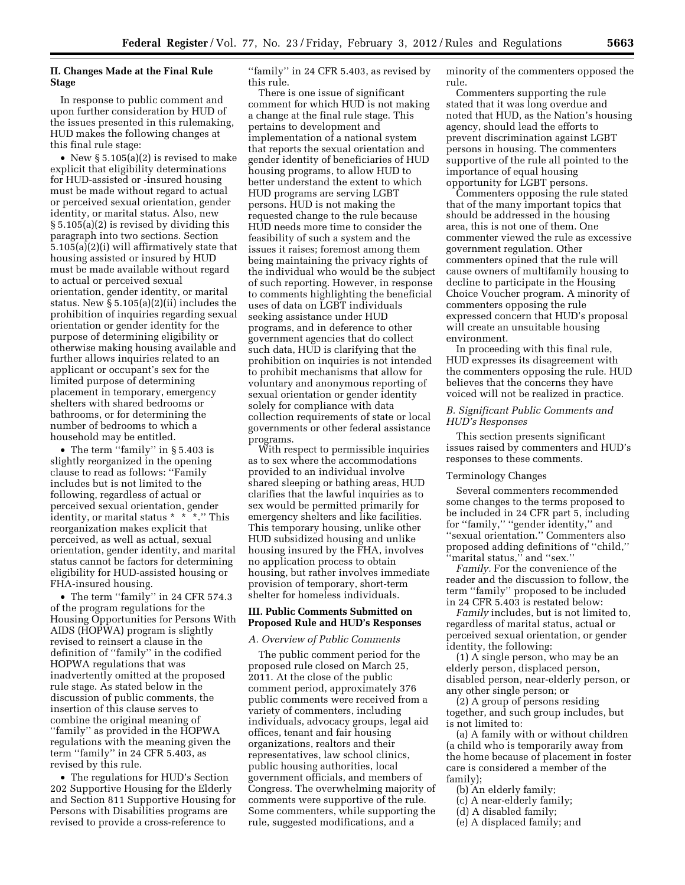# **II. Changes Made at the Final Rule Stage**

In response to public comment and upon further consideration by HUD of the issues presented in this rulemaking, HUD makes the following changes at this final rule stage:

• New § 5.105(a)(2) is revised to make explicit that eligibility determinations for HUD-assisted or -insured housing must be made without regard to actual or perceived sexual orientation, gender identity, or marital status. Also, new § 5.105(a)(2) is revised by dividing this paragraph into two sections. Section 5.105(a)(2)(i) will affirmatively state that housing assisted or insured by HUD must be made available without regard to actual or perceived sexual orientation, gender identity, or marital status. New § 5.105(a)(2)(ii) includes the prohibition of inquiries regarding sexual orientation or gender identity for the purpose of determining eligibility or otherwise making housing available and further allows inquiries related to an applicant or occupant's sex for the limited purpose of determining placement in temporary, emergency shelters with shared bedrooms or bathrooms, or for determining the number of bedrooms to which a household may be entitled.

• The term "family" in § 5.403 is slightly reorganized in the opening clause to read as follows: ''Family includes but is not limited to the following, regardless of actual or perceived sexual orientation, gender identity, or marital status \* \* \*.'' This reorganization makes explicit that perceived, as well as actual, sexual orientation, gender identity, and marital status cannot be factors for determining eligibility for HUD-assisted housing or FHA-insured housing.

• The term ''family'' in 24 CFR 574.3 of the program regulations for the Housing Opportunities for Persons With AIDS (HOPWA) program is slightly revised to reinsert a clause in the definition of ''family'' in the codified HOPWA regulations that was inadvertently omitted at the proposed rule stage. As stated below in the discussion of public comments, the insertion of this clause serves to combine the original meaning of ''family'' as provided in the HOPWA regulations with the meaning given the term "family" in 24 CFR 5.403, as revised by this rule.

• The regulations for HUD's Section 202 Supportive Housing for the Elderly and Section 811 Supportive Housing for Persons with Disabilities programs are revised to provide a cross-reference to

''family'' in 24 CFR 5.403, as revised by this rule.

There is one issue of significant comment for which HUD is not making a change at the final rule stage. This pertains to development and implementation of a national system that reports the sexual orientation and gender identity of beneficiaries of HUD housing programs, to allow HUD to better understand the extent to which HUD programs are serving LGBT persons. HUD is not making the requested change to the rule because HUD needs more time to consider the feasibility of such a system and the issues it raises; foremost among them being maintaining the privacy rights of the individual who would be the subject of such reporting. However, in response to comments highlighting the beneficial uses of data on LGBT individuals seeking assistance under HUD programs, and in deference to other government agencies that do collect such data, HUD is clarifying that the prohibition on inquiries is not intended to prohibit mechanisms that allow for voluntary and anonymous reporting of sexual orientation or gender identity solely for compliance with data collection requirements of state or local governments or other federal assistance programs.

With respect to permissible inquiries as to sex where the accommodations provided to an individual involve shared sleeping or bathing areas, HUD clarifies that the lawful inquiries as to sex would be permitted primarily for emergency shelters and like facilities. This temporary housing, unlike other HUD subsidized housing and unlike housing insured by the FHA, involves no application process to obtain housing, but rather involves immediate provision of temporary, short-term shelter for homeless individuals.

#### **III. Public Comments Submitted on Proposed Rule and HUD's Responses**

#### *A. Overview of Public Comments*

The public comment period for the proposed rule closed on March 25, 2011. At the close of the public comment period, approximately 376 public comments were received from a variety of commenters, including individuals, advocacy groups, legal aid offices, tenant and fair housing organizations, realtors and their representatives, law school clinics, public housing authorities, local government officials, and members of Congress. The overwhelming majority of comments were supportive of the rule. Some commenters, while supporting the rule, suggested modifications, and a

minority of the commenters opposed the rule.

Commenters supporting the rule stated that it was long overdue and noted that HUD, as the Nation's housing agency, should lead the efforts to prevent discrimination against LGBT persons in housing. The commenters supportive of the rule all pointed to the importance of equal housing opportunity for LGBT persons.

Commenters opposing the rule stated that of the many important topics that should be addressed in the housing area, this is not one of them. One commenter viewed the rule as excessive government regulation. Other commenters opined that the rule will cause owners of multifamily housing to decline to participate in the Housing Choice Voucher program. A minority of commenters opposing the rule expressed concern that HUD's proposal will create an unsuitable housing environment.

In proceeding with this final rule, HUD expresses its disagreement with the commenters opposing the rule. HUD believes that the concerns they have voiced will not be realized in practice.

# *B. Significant Public Comments and HUD's Responses*

This section presents significant issues raised by commenters and HUD's responses to these comments.

#### Terminology Changes

Several commenters recommended some changes to the terms proposed to be included in 24 CFR part 5, including for ''family,'' ''gender identity,'' and ''sexual orientation.'' Commenters also proposed adding definitions of ''child,'' 'marital status," and "sex."

*Family.* For the convenience of the reader and the discussion to follow, the term ''family'' proposed to be included in 24 CFR 5.403 is restated below:

*Family* includes, but is not limited to, regardless of marital status, actual or perceived sexual orientation, or gender identity, the following:

(1) A single person, who may be an elderly person, displaced person, disabled person, near-elderly person, or any other single person; or

(2) A group of persons residing together, and such group includes, but is not limited to:

(a) A family with or without children (a child who is temporarily away from the home because of placement in foster care is considered a member of the family);

- (b) An elderly family;
- (c) A near-elderly family;
- (d) A disabled family;
- (e) A displaced family; and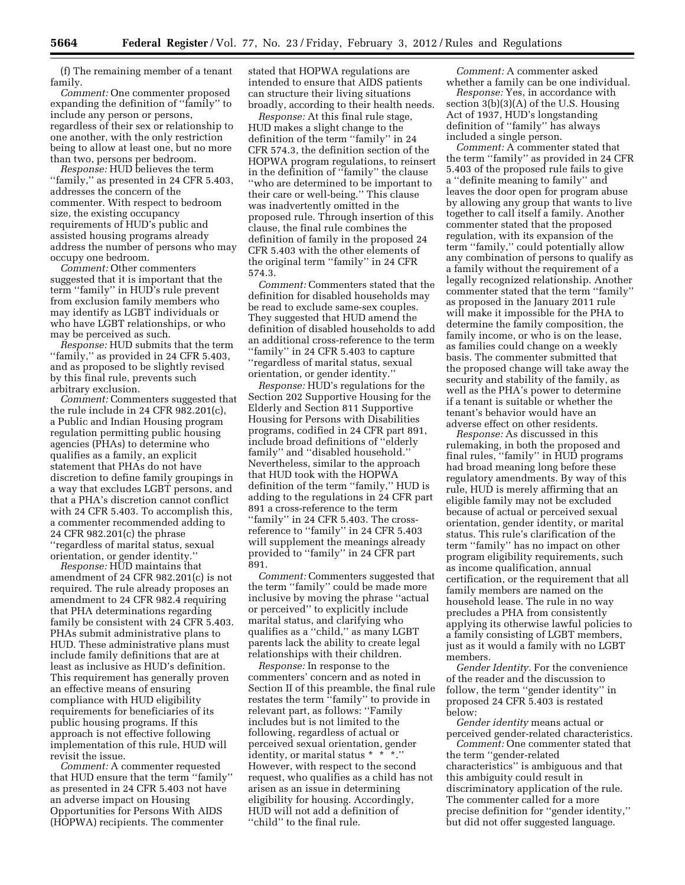(f) The remaining member of a tenant family.

*Comment:* One commenter proposed expanding the definition of ''family'' to include any person or persons, regardless of their sex or relationship to one another, with the only restriction being to allow at least one, but no more than two, persons per bedroom.

*Response:* HUD believes the term "family," as presented in 24 CFR 5.403, addresses the concern of the commenter. With respect to bedroom size, the existing occupancy requirements of HUD's public and assisted housing programs already address the number of persons who may occupy one bedroom.

*Comment:* Other commenters suggested that it is important that the term ''family'' in HUD's rule prevent from exclusion family members who may identify as LGBT individuals or who have LGBT relationships, or who may be perceived as such.

*Response:* HUD submits that the term "family," as provided in 24 CFR 5.403, and as proposed to be slightly revised by this final rule, prevents such arbitrary exclusion.

*Comment:* Commenters suggested that the rule include in 24 CFR 982.201(c), a Public and Indian Housing program regulation permitting public housing agencies (PHAs) to determine who qualifies as a family, an explicit statement that PHAs do not have discretion to define family groupings in a way that excludes LGBT persons, and that a PHA's discretion cannot conflict with 24 CFR 5.403. To accomplish this, a commenter recommended adding to 24 CFR 982.201(c) the phrase ''regardless of marital status, sexual orientation, or gender identity.''

*Response:* HUD maintains that amendment of 24 CFR 982.201(c) is not required. The rule already proposes an amendment to 24 CFR 982.4 requiring that PHA determinations regarding family be consistent with 24 CFR 5.403. PHAs submit administrative plans to HUD. These administrative plans must include family definitions that are at least as inclusive as HUD's definition. This requirement has generally proven an effective means of ensuring compliance with HUD eligibility requirements for beneficiaries of its public housing programs. If this approach is not effective following implementation of this rule, HUD will revisit the issue.

*Comment:* A commenter requested that HUD ensure that the term ''family'' as presented in 24 CFR 5.403 not have an adverse impact on Housing Opportunities for Persons With AIDS (HOPWA) recipients. The commenter

stated that HOPWA regulations are intended to ensure that AIDS patients can structure their living situations broadly, according to their health needs.

*Response:* At this final rule stage, HUD makes a slight change to the definition of the term ''family'' in 24 CFR 574.3, the definition section of the HOPWA program regulations, to reinsert in the definition of ''family'' the clause ''who are determined to be important to their care or well-being.'' This clause was inadvertently omitted in the proposed rule. Through insertion of this clause, the final rule combines the definition of family in the proposed 24 CFR 5.403 with the other elements of the original term ''family'' in 24 CFR 574.3.

*Comment:* Commenters stated that the definition for disabled households may be read to exclude same-sex couples. They suggested that HUD amend the definition of disabled households to add an additional cross-reference to the term "family" in 24 CFR 5.403 to capture ''regardless of marital status, sexual orientation, or gender identity.''

*Response:* HUD's regulations for the Section 202 Supportive Housing for the Elderly and Section 811 Supportive Housing for Persons with Disabilities programs, codified in 24 CFR part 891, include broad definitions of ''elderly family'' and ''disabled household.'' Nevertheless, similar to the approach that HUD took with the HOPWA definition of the term ''family,'' HUD is adding to the regulations in 24 CFR part 891 a cross-reference to the term ''family'' in 24 CFR 5.403. The crossreference to ''family'' in 24 CFR 5.403 will supplement the meanings already provided to ''family'' in 24 CFR part 891.

*Comment:* Commenters suggested that the term ''family'' could be made more inclusive by moving the phrase ''actual or perceived'' to explicitly include marital status, and clarifying who qualifies as a ''child,'' as many LGBT parents lack the ability to create legal relationships with their children.

*Response:* In response to the commenters' concern and as noted in Section II of this preamble, the final rule restates the term ''family'' to provide in relevant part, as follows: ''Family includes but is not limited to the following, regardless of actual or perceived sexual orientation, gender identity, or marital status \* \* \*.'' However, with respect to the second request, who qualifies as a child has not arisen as an issue in determining eligibility for housing. Accordingly, HUD will not add a definition of ''child'' to the final rule.

*Comment:* A commenter asked whether a family can be one individual.

*Response:* Yes, in accordance with section 3(b)(3)(A) of the U.S. Housing Act of 1937, HUD's longstanding definition of ''family'' has always included a single person.

*Comment:* A commenter stated that the term ''family'' as provided in 24 CFR 5.403 of the proposed rule fails to give a ''definite meaning to family'' and leaves the door open for program abuse by allowing any group that wants to live together to call itself a family. Another commenter stated that the proposed regulation, with its expansion of the term ''family,'' could potentially allow any combination of persons to qualify as a family without the requirement of a legally recognized relationship. Another commenter stated that the term ''family'' as proposed in the January 2011 rule will make it impossible for the PHA to determine the family composition, the family income, or who is on the lease, as families could change on a weekly basis. The commenter submitted that the proposed change will take away the security and stability of the family, as well as the PHA's power to determine if a tenant is suitable or whether the tenant's behavior would have an adverse effect on other residents.

*Response:* As discussed in this rulemaking, in both the proposed and final rules, ''family'' in HUD programs had broad meaning long before these regulatory amendments. By way of this rule, HUD is merely affirming that an eligible family may not be excluded because of actual or perceived sexual orientation, gender identity, or marital status. This rule's clarification of the term ''family'' has no impact on other program eligibility requirements, such as income qualification, annual certification, or the requirement that all family members are named on the household lease. The rule in no way precludes a PHA from consistently applying its otherwise lawful policies to a family consisting of LGBT members, just as it would a family with no LGBT members.

*Gender Identity.* For the convenience of the reader and the discussion to follow, the term ''gender identity'' in proposed 24 CFR 5.403 is restated below:

*Gender identity* means actual or perceived gender-related characteristics.

*Comment:* One commenter stated that the term ''gender-related characteristics'' is ambiguous and that this ambiguity could result in discriminatory application of the rule. The commenter called for a more precise definition for ''gender identity,'' but did not offer suggested language.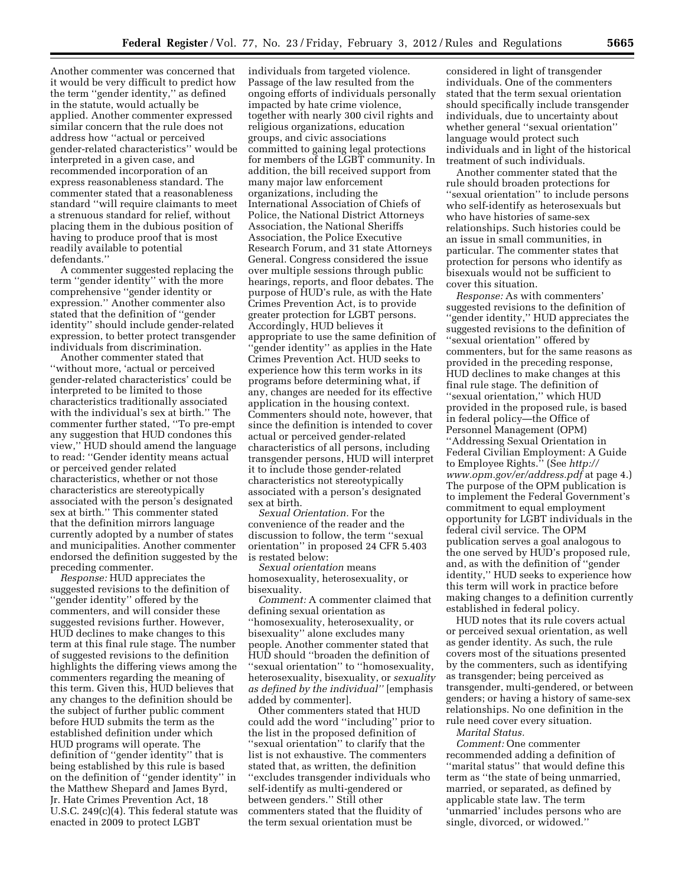Another commenter was concerned that it would be very difficult to predict how the term ''gender identity,'' as defined in the statute, would actually be applied. Another commenter expressed similar concern that the rule does not address how ''actual or perceived gender-related characteristics'' would be interpreted in a given case, and recommended incorporation of an express reasonableness standard. The commenter stated that a reasonableness standard ''will require claimants to meet a strenuous standard for relief, without placing them in the dubious position of having to produce proof that is most readily available to potential defendants.''

A commenter suggested replacing the term ''gender identity'' with the more comprehensive ''gender identity or expression.'' Another commenter also stated that the definition of ''gender identity'' should include gender-related expression, to better protect transgender individuals from discrimination.

Another commenter stated that ''without more, 'actual or perceived gender-related characteristics' could be interpreted to be limited to those characteristics traditionally associated with the individual's sex at birth.'' The commenter further stated, ''To pre-empt any suggestion that HUD condones this view,'' HUD should amend the language to read: ''Gender identity means actual or perceived gender related characteristics, whether or not those characteristics are stereotypically associated with the person's designated sex at birth.'' This commenter stated that the definition mirrors language currently adopted by a number of states and municipalities. Another commenter endorsed the definition suggested by the preceding commenter.

*Response:* HUD appreciates the suggested revisions to the definition of ''gender identity'' offered by the commenters, and will consider these suggested revisions further. However, HUD declines to make changes to this term at this final rule stage. The number of suggested revisions to the definition highlights the differing views among the commenters regarding the meaning of this term. Given this, HUD believes that any changes to the definition should be the subject of further public comment before HUD submits the term as the established definition under which HUD programs will operate. The definition of ''gender identity'' that is being established by this rule is based on the definition of ''gender identity'' in the Matthew Shepard and James Byrd, Jr. Hate Crimes Prevention Act, 18 U.S.C. 249(c)(4). This federal statute was enacted in 2009 to protect LGBT

individuals from targeted violence. Passage of the law resulted from the ongoing efforts of individuals personally impacted by hate crime violence, together with nearly 300 civil rights and religious organizations, education groups, and civic associations committed to gaining legal protections for members of the LGBT community. In addition, the bill received support from many major law enforcement organizations, including the International Association of Chiefs of Police, the National District Attorneys Association, the National Sheriffs Association, the Police Executive Research Forum, and 31 state Attorneys General. Congress considered the issue over multiple sessions through public hearings, reports, and floor debates. The purpose of HUD's rule, as with the Hate Crimes Prevention Act, is to provide greater protection for LGBT persons. Accordingly, HUD believes it appropriate to use the same definition of 'gender identity" as applies in the Hate Crimes Prevention Act. HUD seeks to experience how this term works in its programs before determining what, if any, changes are needed for its effective application in the housing context. Commenters should note, however, that since the definition is intended to cover actual or perceived gender-related characteristics of all persons, including transgender persons, HUD will interpret it to include those gender-related characteristics not stereotypically associated with a person's designated sex at birth.

*Sexual Orientation.* For the convenience of the reader and the discussion to follow, the term ''sexual orientation'' in proposed 24 CFR 5.403 is restated below:

*Sexual orientation* means homosexuality, heterosexuality, or bisexuality.

*Comment:* A commenter claimed that defining sexual orientation as ''homosexuality, heterosexuality, or bisexuality'' alone excludes many people. Another commenter stated that HUD should ''broaden the definition of ''sexual orientation'' to ''homosexuality, heterosexuality, bisexuality, or *sexuality as defined by the individual''* [emphasis added by commenter].

Other commenters stated that HUD could add the word ''including'' prior to the list in the proposed definition of ''sexual orientation'' to clarify that the list is not exhaustive. The commenters stated that, as written, the definition ''excludes transgender individuals who self-identify as multi-gendered or between genders.'' Still other commenters stated that the fluidity of the term sexual orientation must be

considered in light of transgender individuals. One of the commenters stated that the term sexual orientation should specifically include transgender individuals, due to uncertainty about whether general ''sexual orientation'' language would protect such individuals and in light of the historical treatment of such individuals.

Another commenter stated that the rule should broaden protections for ''sexual orientation'' to include persons who self-identify as heterosexuals but who have histories of same-sex relationships. Such histories could be an issue in small communities, in particular. The commenter states that protection for persons who identify as bisexuals would not be sufficient to cover this situation.

*Response:* As with commenters' suggested revisions to the definition of ''gender identity,'' HUD appreciates the suggested revisions to the definition of ''sexual orientation'' offered by commenters, but for the same reasons as provided in the preceding response, HUD declines to make changes at this final rule stage. The definition of ''sexual orientation,'' which HUD provided in the proposed rule, is based in federal policy—the Office of Personnel Management (OPM) ''Addressing Sexual Orientation in Federal Civilian Employment: A Guide to Employee Rights.'' (See *[http://](http://www.opm.gov/er/address.pdf) [www.opm.gov/er/address.pdf](http://www.opm.gov/er/address.pdf)* at page 4.) The purpose of the OPM publication is to implement the Federal Government's commitment to equal employment opportunity for LGBT individuals in the federal civil service. The OPM publication serves a goal analogous to the one served by HUD's proposed rule, and, as with the definition of ''gender identity,'' HUD seeks to experience how this term will work in practice before making changes to a definition currently established in federal policy.

HUD notes that its rule covers actual or perceived sexual orientation, as well as gender identity. As such, the rule covers most of the situations presented by the commenters, such as identifying as transgender; being perceived as transgender, multi-gendered, or between genders; or having a history of same-sex relationships. No one definition in the rule need cover every situation.

*Marital Status.* 

*Comment:* One commenter recommended adding a definition of ''marital status'' that would define this term as ''the state of being unmarried, married, or separated, as defined by applicable state law. The term 'unmarried' includes persons who are single, divorced, or widowed.''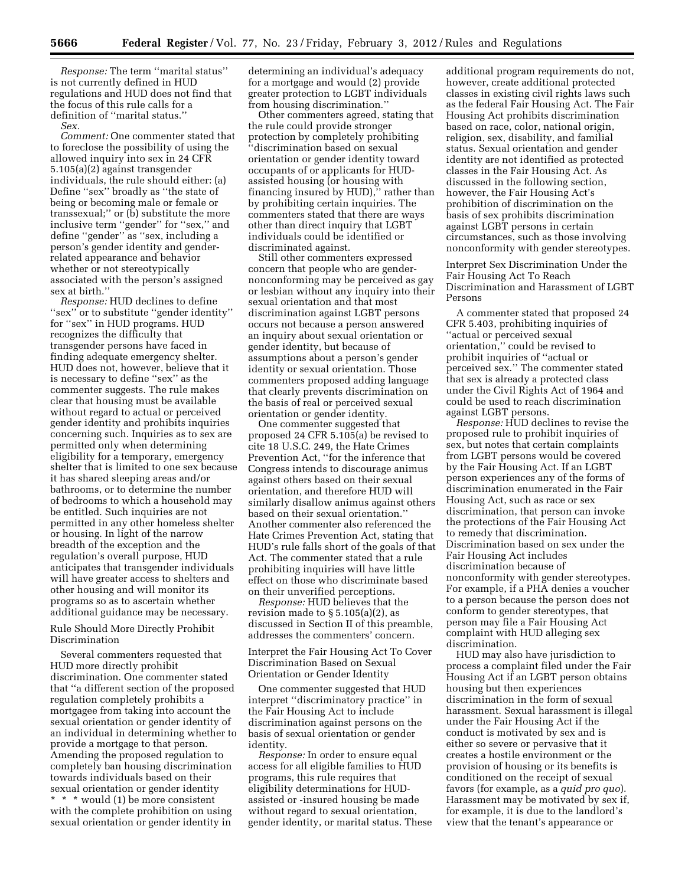*Response:* The term ''marital status'' is not currently defined in HUD regulations and HUD does not find that the focus of this rule calls for a definition of ''marital status.''

*Sex.* 

*Comment:* One commenter stated that to foreclose the possibility of using the allowed inquiry into sex in 24 CFR 5.105(a)(2) against transgender individuals, the rule should either: (a) Define ''sex'' broadly as ''the state of being or becoming male or female or transsexual;'' or (b) substitute the more inclusive term ''gender'' for ''sex,'' and define ''gender'' as ''sex, including a person's gender identity and genderrelated appearance and behavior whether or not stereotypically associated with the person's assigned sex at birth.''

*Response:* HUD declines to define ''sex'' or to substitute ''gender identity'' for ''sex'' in HUD programs. HUD recognizes the difficulty that transgender persons have faced in finding adequate emergency shelter. HUD does not, however, believe that it is necessary to define ''sex'' as the commenter suggests. The rule makes clear that housing must be available without regard to actual or perceived gender identity and prohibits inquiries concerning such. Inquiries as to sex are permitted only when determining eligibility for a temporary, emergency shelter that is limited to one sex because it has shared sleeping areas and/or bathrooms, or to determine the number of bedrooms to which a household may be entitled. Such inquiries are not permitted in any other homeless shelter or housing. In light of the narrow breadth of the exception and the regulation's overall purpose, HUD anticipates that transgender individuals will have greater access to shelters and other housing and will monitor its programs so as to ascertain whether additional guidance may be necessary.

### Rule Should More Directly Prohibit Discrimination

Several commenters requested that HUD more directly prohibit discrimination. One commenter stated that ''a different section of the proposed regulation completely prohibits a mortgagee from taking into account the sexual orientation or gender identity of an individual in determining whether to provide a mortgage to that person. Amending the proposed regulation to completely ban housing discrimination towards individuals based on their sexual orientation or gender identity \* \* \* would (1) be more consistent with the complete prohibition on using sexual orientation or gender identity in

determining an individual's adequacy for a mortgage and would (2) provide greater protection to LGBT individuals from housing discrimination.''

Other commenters agreed, stating that the rule could provide stronger protection by completely prohibiting ''discrimination based on sexual orientation or gender identity toward occupants of or applicants for HUDassisted housing (or housing with financing insured by HUD)," rather than by prohibiting certain inquiries. The commenters stated that there are ways other than direct inquiry that LGBT individuals could be identified or discriminated against.

Still other commenters expressed concern that people who are gendernonconforming may be perceived as gay or lesbian without any inquiry into their sexual orientation and that most discrimination against LGBT persons occurs not because a person answered an inquiry about sexual orientation or gender identity, but because of assumptions about a person's gender identity or sexual orientation. Those commenters proposed adding language that clearly prevents discrimination on the basis of real or perceived sexual orientation or gender identity.

One commenter suggested that proposed 24 CFR 5.105(a) be revised to cite 18 U.S.C. 249, the Hate Crimes Prevention Act, ''for the inference that Congress intends to discourage animus against others based on their sexual orientation, and therefore HUD will similarly disallow animus against others based on their sexual orientation.'' Another commenter also referenced the Hate Crimes Prevention Act, stating that HUD's rule falls short of the goals of that Act. The commenter stated that a rule prohibiting inquiries will have little effect on those who discriminate based on their unverified perceptions.

*Response:* HUD believes that the revision made to § 5.105(a)(2), as discussed in Section II of this preamble, addresses the commenters' concern.

Interpret the Fair Housing Act To Cover Discrimination Based on Sexual Orientation or Gender Identity

One commenter suggested that HUD interpret ''discriminatory practice'' in the Fair Housing Act to include discrimination against persons on the basis of sexual orientation or gender identity.

*Response:* In order to ensure equal access for all eligible families to HUD programs, this rule requires that eligibility determinations for HUDassisted or -insured housing be made without regard to sexual orientation, gender identity, or marital status. These

additional program requirements do not, however, create additional protected classes in existing civil rights laws such as the federal Fair Housing Act. The Fair Housing Act prohibits discrimination based on race, color, national origin, religion, sex, disability, and familial status. Sexual orientation and gender identity are not identified as protected classes in the Fair Housing Act. As discussed in the following section, however, the Fair Housing Act's prohibition of discrimination on the basis of sex prohibits discrimination against LGBT persons in certain circumstances, such as those involving nonconformity with gender stereotypes.

Interpret Sex Discrimination Under the Fair Housing Act To Reach Discrimination and Harassment of LGBT Persons

A commenter stated that proposed 24 CFR 5.403, prohibiting inquiries of ''actual or perceived sexual orientation,'' could be revised to prohibit inquiries of ''actual or perceived sex.'' The commenter stated that sex is already a protected class under the Civil Rights Act of 1964 and could be used to reach discrimination against LGBT persons.

*Response:* HUD declines to revise the proposed rule to prohibit inquiries of sex, but notes that certain complaints from LGBT persons would be covered by the Fair Housing Act. If an LGBT person experiences any of the forms of discrimination enumerated in the Fair Housing Act, such as race or sex discrimination, that person can invoke the protections of the Fair Housing Act to remedy that discrimination. Discrimination based on sex under the Fair Housing Act includes discrimination because of nonconformity with gender stereotypes. For example, if a PHA denies a voucher to a person because the person does not conform to gender stereotypes, that person may file a Fair Housing Act complaint with HUD alleging sex discrimination.

HUD may also have jurisdiction to process a complaint filed under the Fair Housing Act if an LGBT person obtains housing but then experiences discrimination in the form of sexual harassment. Sexual harassment is illegal under the Fair Housing Act if the conduct is motivated by sex and is either so severe or pervasive that it creates a hostile environment or the provision of housing or its benefits is conditioned on the receipt of sexual favors (for example, as a *quid pro quo*). Harassment may be motivated by sex if, for example, it is due to the landlord's view that the tenant's appearance or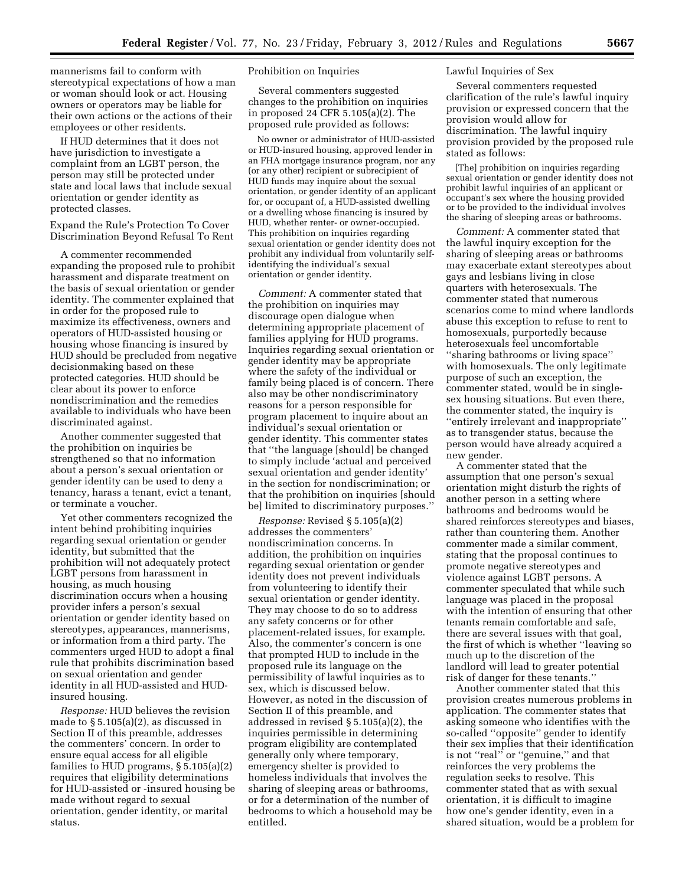mannerisms fail to conform with stereotypical expectations of how a man or woman should look or act. Housing owners or operators may be liable for their own actions or the actions of their employees or other residents.

If HUD determines that it does not have jurisdiction to investigate a complaint from an LGBT person, the person may still be protected under state and local laws that include sexual orientation or gender identity as protected classes.

Expand the Rule's Protection To Cover Discrimination Beyond Refusal To Rent

A commenter recommended expanding the proposed rule to prohibit harassment and disparate treatment on the basis of sexual orientation or gender identity. The commenter explained that in order for the proposed rule to maximize its effectiveness, owners and operators of HUD-assisted housing or housing whose financing is insured by HUD should be precluded from negative decisionmaking based on these protected categories. HUD should be clear about its power to enforce nondiscrimination and the remedies available to individuals who have been discriminated against.

Another commenter suggested that the prohibition on inquiries be strengthened so that no information about a person's sexual orientation or gender identity can be used to deny a tenancy, harass a tenant, evict a tenant, or terminate a voucher.

Yet other commenters recognized the intent behind prohibiting inquiries regarding sexual orientation or gender identity, but submitted that the prohibition will not adequately protect LGBT persons from harassment in housing, as much housing discrimination occurs when a housing provider infers a person's sexual orientation or gender identity based on stereotypes, appearances, mannerisms, or information from a third party. The commenters urged HUD to adopt a final rule that prohibits discrimination based on sexual orientation and gender identity in all HUD-assisted and HUDinsured housing.

*Response:* HUD believes the revision made to § 5.105(a)(2), as discussed in Section II of this preamble, addresses the commenters' concern. In order to ensure equal access for all eligible families to HUD programs, § 5.105(a)(2) requires that eligibility determinations for HUD-assisted or -insured housing be made without regard to sexual orientation, gender identity, or marital status.

### Prohibition on Inquiries

Several commenters suggested changes to the prohibition on inquiries in proposed 24 CFR 5.105(a)(2). The proposed rule provided as follows:

No owner or administrator of HUD-assisted or HUD-insured housing, approved lender in an FHA mortgage insurance program, nor any (or any other) recipient or subrecipient of HUD funds may inquire about the sexual orientation, or gender identity of an applicant for, or occupant of, a HUD-assisted dwelling or a dwelling whose financing is insured by HUD, whether renter- or owner-occupied. This prohibition on inquiries regarding sexual orientation or gender identity does not prohibit any individual from voluntarily selfidentifying the individual's sexual orientation or gender identity.

*Comment:* A commenter stated that the prohibition on inquiries may discourage open dialogue when determining appropriate placement of families applying for HUD programs. Inquiries regarding sexual orientation or gender identity may be appropriate where the safety of the individual or family being placed is of concern. There also may be other nondiscriminatory reasons for a person responsible for program placement to inquire about an individual's sexual orientation or gender identity. This commenter states that ''the language [should] be changed to simply include 'actual and perceived sexual orientation and gender identity' in the section for nondiscrimination; or that the prohibition on inquiries [should be] limited to discriminatory purposes.''

*Response:* Revised § 5.105(a)(2) addresses the commenters' nondiscrimination concerns. In addition, the prohibition on inquiries regarding sexual orientation or gender identity does not prevent individuals from volunteering to identify their sexual orientation or gender identity. They may choose to do so to address any safety concerns or for other placement-related issues, for example. Also, the commenter's concern is one that prompted HUD to include in the proposed rule its language on the permissibility of lawful inquiries as to sex, which is discussed below. However, as noted in the discussion of Section II of this preamble, and addressed in revised § 5.105(a)(2), the inquiries permissible in determining program eligibility are contemplated generally only where temporary, emergency shelter is provided to homeless individuals that involves the sharing of sleeping areas or bathrooms, or for a determination of the number of bedrooms to which a household may be entitled.

### Lawful Inquiries of Sex

Several commenters requested clarification of the rule's lawful inquiry provision or expressed concern that the provision would allow for discrimination. The lawful inquiry provision provided by the proposed rule stated as follows:

[The] prohibition on inquiries regarding sexual orientation or gender identity does not prohibit lawful inquiries of an applicant or occupant's sex where the housing provided or to be provided to the individual involves the sharing of sleeping areas or bathrooms.

*Comment:* A commenter stated that the lawful inquiry exception for the sharing of sleeping areas or bathrooms may exacerbate extant stereotypes about gays and lesbians living in close quarters with heterosexuals. The commenter stated that numerous scenarios come to mind where landlords abuse this exception to refuse to rent to homosexuals, purportedly because heterosexuals feel uncomfortable ''sharing bathrooms or living space'' with homosexuals. The only legitimate purpose of such an exception, the commenter stated, would be in singlesex housing situations. But even there, the commenter stated, the inquiry is ''entirely irrelevant and inappropriate'' as to transgender status, because the person would have already acquired a new gender.

A commenter stated that the assumption that one person's sexual orientation might disturb the rights of another person in a setting where bathrooms and bedrooms would be shared reinforces stereotypes and biases, rather than countering them. Another commenter made a similar comment, stating that the proposal continues to promote negative stereotypes and violence against LGBT persons. A commenter speculated that while such language was placed in the proposal with the intention of ensuring that other tenants remain comfortable and safe, there are several issues with that goal, the first of which is whether ''leaving so much up to the discretion of the landlord will lead to greater potential risk of danger for these tenants.''

Another commenter stated that this provision creates numerous problems in application. The commenter states that asking someone who identifies with the so-called ''opposite'' gender to identify their sex implies that their identification is not ''real'' or ''genuine,'' and that reinforces the very problems the regulation seeks to resolve. This commenter stated that as with sexual orientation, it is difficult to imagine how one's gender identity, even in a shared situation, would be a problem for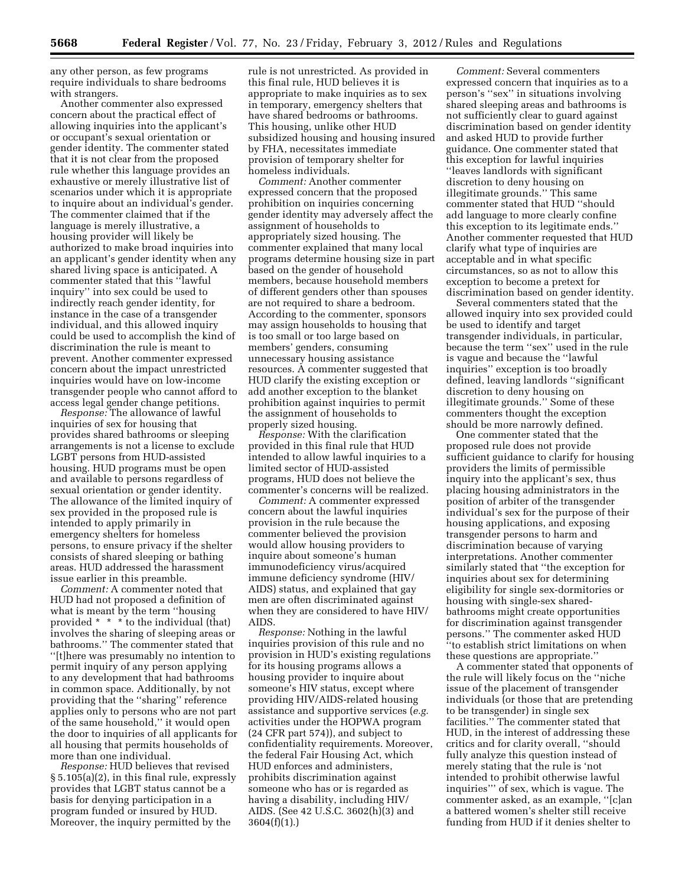any other person, as few programs require individuals to share bedrooms with strangers.

Another commenter also expressed concern about the practical effect of allowing inquiries into the applicant's or occupant's sexual orientation or gender identity. The commenter stated that it is not clear from the proposed rule whether this language provides an exhaustive or merely illustrative list of scenarios under which it is appropriate to inquire about an individual's gender. The commenter claimed that if the language is merely illustrative, a housing provider will likely be authorized to make broad inquiries into an applicant's gender identity when any shared living space is anticipated. A commenter stated that this ''lawful inquiry'' into sex could be used to indirectly reach gender identity, for instance in the case of a transgender individual, and this allowed inquiry could be used to accomplish the kind of discrimination the rule is meant to prevent. Another commenter expressed concern about the impact unrestricted inquiries would have on low-income transgender people who cannot afford to access legal gender change petitions.

*Response:* The allowance of lawful inquiries of sex for housing that provides shared bathrooms or sleeping arrangements is not a license to exclude LGBT persons from HUD-assisted housing. HUD programs must be open and available to persons regardless of sexual orientation or gender identity. The allowance of the limited inquiry of sex provided in the proposed rule is intended to apply primarily in emergency shelters for homeless persons, to ensure privacy if the shelter consists of shared sleeping or bathing areas. HUD addressed the harassment issue earlier in this preamble.

*Comment:* A commenter noted that HUD had not proposed a definition of what is meant by the term ''housing provided \* \* \* to the individual (that) involves the sharing of sleeping areas or bathrooms.'' The commenter stated that ''[t]here was presumably no intention to permit inquiry of any person applying to any development that had bathrooms in common space. Additionally, by not providing that the ''sharing'' reference applies only to persons who are not part of the same household,'' it would open the door to inquiries of all applicants for all housing that permits households of more than one individual.

*Response:* HUD believes that revised § 5.105(a)(2), in this final rule, expressly provides that LGBT status cannot be a basis for denying participation in a program funded or insured by HUD. Moreover, the inquiry permitted by the

rule is not unrestricted. As provided in this final rule, HUD believes it is appropriate to make inquiries as to sex in temporary, emergency shelters that have shared bedrooms or bathrooms. This housing, unlike other HUD subsidized housing and housing insured by FHA, necessitates immediate provision of temporary shelter for homeless individuals.

*Comment:* Another commenter expressed concern that the proposed prohibition on inquiries concerning gender identity may adversely affect the assignment of households to appropriately sized housing. The commenter explained that many local programs determine housing size in part based on the gender of household members, because household members of different genders other than spouses are not required to share a bedroom. According to the commenter, sponsors may assign households to housing that is too small or too large based on members' genders, consuming unnecessary housing assistance resources. A commenter suggested that HUD clarify the existing exception or add another exception to the blanket prohibition against inquiries to permit the assignment of households to properly sized housing.

*Response:* With the clarification provided in this final rule that HUD intended to allow lawful inquiries to a limited sector of HUD-assisted programs, HUD does not believe the commenter's concerns will be realized.

*Comment:* A commenter expressed concern about the lawful inquiries provision in the rule because the commenter believed the provision would allow housing providers to inquire about someone's human immunodeficiency virus/acquired immune deficiency syndrome (HIV/ AIDS) status, and explained that gay men are often discriminated against when they are considered to have HIV/ AIDS.

*Response:* Nothing in the lawful inquiries provision of this rule and no provision in HUD's existing regulations for its housing programs allows a housing provider to inquire about someone's HIV status, except where providing HIV/AIDS-related housing assistance and supportive services (*e.g.*  activities under the HOPWA program (24 CFR part 574)), and subject to confidentiality requirements. Moreover, the federal Fair Housing Act, which HUD enforces and administers, prohibits discrimination against someone who has or is regarded as having a disability, including HIV/ AIDS. (See 42 U.S.C. 3602(h)(3) and 3604(f)(1).)

*Comment:* Several commenters expressed concern that inquiries as to a person's ''sex'' in situations involving shared sleeping areas and bathrooms is not sufficiently clear to guard against discrimination based on gender identity and asked HUD to provide further guidance. One commenter stated that this exception for lawful inquiries ''leaves landlords with significant discretion to deny housing on illegitimate grounds.'' This same commenter stated that HUD ''should add language to more clearly confine this exception to its legitimate ends.'' Another commenter requested that HUD clarify what type of inquiries are acceptable and in what specific circumstances, so as not to allow this exception to become a pretext for discrimination based on gender identity.

Several commenters stated that the allowed inquiry into sex provided could be used to identify and target transgender individuals, in particular, because the term ''sex'' used in the rule is vague and because the ''lawful inquiries'' exception is too broadly defined, leaving landlords ''significant discretion to deny housing on illegitimate grounds.'' Some of these commenters thought the exception should be more narrowly defined.

One commenter stated that the proposed rule does not provide sufficient guidance to clarify for housing providers the limits of permissible inquiry into the applicant's sex, thus placing housing administrators in the position of arbiter of the transgender individual's sex for the purpose of their housing applications, and exposing transgender persons to harm and discrimination because of varying interpretations. Another commenter similarly stated that ''the exception for inquiries about sex for determining eligibility for single sex-dormitories or housing with single-sex sharedbathrooms might create opportunities for discrimination against transgender persons.'' The commenter asked HUD ''to establish strict limitations on when these questions are appropriate.''

A commenter stated that opponents of the rule will likely focus on the ''niche issue of the placement of transgender individuals (or those that are pretending to be transgender) in single sex facilities.'' The commenter stated that HUD, in the interest of addressing these critics and for clarity overall, ''should fully analyze this question instead of merely stating that the rule is 'not intended to prohibit otherwise lawful inquiries''' of sex, which is vague. The commenter asked, as an example, ''[c]an a battered women's shelter still receive funding from HUD if it denies shelter to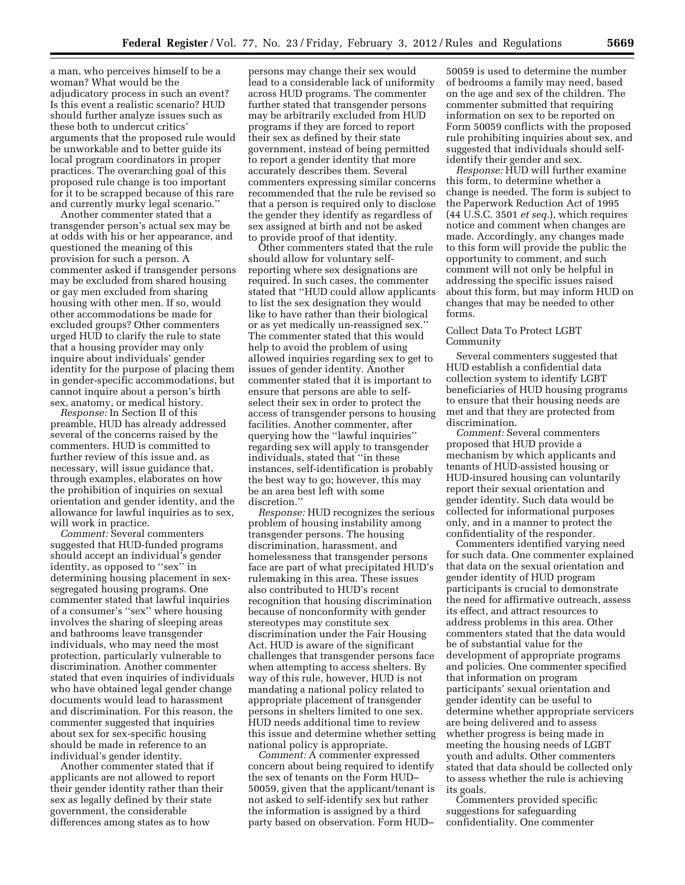a man, who perceives himself to be a woman? What would be the adjudicatory process in such an event? Is this event a realistic scenario? HUD should further analyze issues such as these both to undercut critics' arguments that the proposed rule would be unworkable and to better guide its local program coordinators in proper practices. The overarching goal of this proposed rule change is too important for it to be scrapped because of this rare and currently murky legal scenario.''

Another commenter stated that a transgender person's actual sex may be at odds with his or her appearance, and questioned the meaning of this provision for such a person. A commenter asked if transgender persons may be excluded from shared housing or gay men excluded from sharing housing with other men. If so, would other accommodations be made for excluded groups? Other commenters urged HUD to clarify the rule to state that a housing provider may only inquire about individuals' gender identity for the purpose of placing them in gender-specific accommodations, but cannot inquire about a person's birth sex, anatomy, or medical history.

*Response:* In Section II of this preamble, HUD has already addressed several of the concerns raised by the commenters. HUD is committed to further review of this issue and, as necessary, will issue guidance that, through examples, elaborates on how the prohibition of inquiries on sexual orientation and gender identity, and the allowance for lawful inquiries as to sex, will work in practice.

*Comment:* Several commenters suggested that HUD-funded programs should accept an individual's gender identity, as opposed to ''sex'' in determining housing placement in sexsegregated housing programs. One commenter stated that lawful inquiries of a consumer's ''sex'' where housing involves the sharing of sleeping areas and bathrooms leave transgender individuals, who may need the most protection, particularly vulnerable to discrimination. Another commenter stated that even inquiries of individuals who have obtained legal gender change documents would lead to harassment and discrimination. For this reason, the commenter suggested that inquiries about sex for sex-specific housing should be made in reference to an individual's gender identity.

Another commenter stated that if applicants are not allowed to report their gender identity rather than their sex as legally defined by their state government, the considerable differences among states as to how

persons may change their sex would lead to a considerable lack of uniformity across HUD programs. The commenter further stated that transgender persons may be arbitrarily excluded from HUD programs if they are forced to report their sex as defined by their state government, instead of being permitted to report a gender identity that more accurately describes them. Several commenters expressing similar concerns recommended that the rule be revised so that a person is required only to disclose the gender they identify as regardless of sex assigned at birth and not be asked to provide proof of that identity.

Other commenters stated that the rule should allow for voluntary selfreporting where sex designations are required. In such cases, the commenter stated that ''HUD could allow applicants to list the sex designation they would like to have rather than their biological or as yet medically un-reassigned sex.'' The commenter stated that this would help to avoid the problem of using allowed inquiries regarding sex to get to issues of gender identity. Another commenter stated that it is important to ensure that persons are able to selfselect their sex in order to protect the access of transgender persons to housing facilities. Another commenter, after querying how the ''lawful inquiries'' regarding sex will apply to transgender individuals, stated that ''in these instances, self-identification is probably the best way to go; however, this may be an area best left with some discretion.''

*Response:* HUD recognizes the serious problem of housing instability among transgender persons. The housing discrimination, harassment, and homelessness that transgender persons face are part of what precipitated HUD's rulemaking in this area. These issues also contributed to HUD's recent recognition that housing discrimination because of nonconformity with gender stereotypes may constitute sex discrimination under the Fair Housing Act. HUD is aware of the significant challenges that transgender persons face when attempting to access shelters. By way of this rule, however, HUD is not mandating a national policy related to appropriate placement of transgender persons in shelters limited to one sex. HUD needs additional time to review this issue and determine whether setting national policy is appropriate.

*Comment:* A commenter expressed concern about being required to identify the sex of tenants on the Form HUD– 50059, given that the applicant/tenant is not asked to self-identify sex but rather the information is assigned by a third party based on observation. Form HUD–

50059 is used to determine the number of bedrooms a family may need, based on the age and sex of the children. The commenter submitted that requiring information on sex to be reported on Form 50059 conflicts with the proposed rule prohibiting inquiries about sex, and suggested that individuals should selfidentify their gender and sex.

*Response:* HUD will further examine this form, to determine whether a change is needed. The form is subject to the Paperwork Reduction Act of 1995 (44 U.S.C. 3501 *et seq.*), which requires notice and comment when changes are made. Accordingly, any changes made to this form will provide the public the opportunity to comment, and such comment will not only be helpful in addressing the specific issues raised about this form, but may inform HUD on changes that may be needed to other forms.

#### Collect Data To Protect LGBT Community

Several commenters suggested that HUD establish a confidential data collection system to identify LGBT beneficiaries of HUD housing programs to ensure that their housing needs are met and that they are protected from discrimination.

*Comment:* Several commenters proposed that HUD provide a mechanism by which applicants and tenants of HUD-assisted housing or HUD-insured housing can voluntarily report their sexual orientation and gender identity. Such data would be collected for informational purposes only, and in a manner to protect the confidentiality of the responder.

Commenters identified varying need for such data. One commenter explained that data on the sexual orientation and gender identity of HUD program participants is crucial to demonstrate the need for affirmative outreach, assess its effect, and attract resources to address problems in this area. Other commenters stated that the data would be of substantial value for the development of appropriate programs and policies. One commenter specified that information on program participants' sexual orientation and gender identity can be useful to determine whether appropriate servicers are being delivered and to assess whether progress is being made in meeting the housing needs of LGBT youth and adults. Other commenters stated that data should be collected only to assess whether the rule is achieving its goals.

Commenters provided specific suggestions for safeguarding confidentiality. One commenter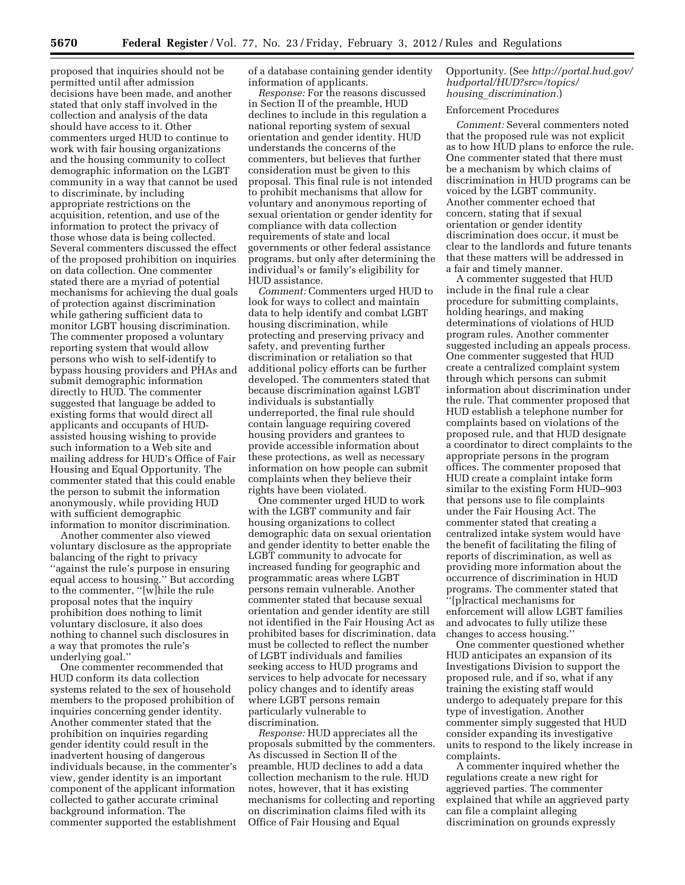proposed that inquiries should not be permitted until after admission decisions have been made, and another stated that only staff involved in the collection and analysis of the data should have access to it. Other commenters urged HUD to continue to work with fair housing organizations and the housing community to collect demographic information on the LGBT community in a way that cannot be used to discriminate, by including appropriate restrictions on the acquisition, retention, and use of the information to protect the privacy of those whose data is being collected. Several commenters discussed the effect of the proposed prohibition on inquiries on data collection. One commenter stated there are a myriad of potential mechanisms for achieving the dual goals of protection against discrimination while gathering sufficient data to monitor LGBT housing discrimination. The commenter proposed a voluntary reporting system that would allow persons who wish to self-identify to bypass housing providers and PHAs and submit demographic information directly to HUD. The commenter suggested that language be added to existing forms that would direct all applicants and occupants of HUDassisted housing wishing to provide such information to a Web site and mailing address for HUD's Office of Fair Housing and Equal Opportunity. The commenter stated that this could enable the person to submit the information anonymously, while providing HUD with sufficient demographic information to monitor discrimination.

Another commenter also viewed voluntary disclosure as the appropriate balancing of the right to privacy ''against the rule's purpose in ensuring equal access to housing.'' But according to the commenter, ''[w]hile the rule proposal notes that the inquiry prohibition does nothing to limit voluntary disclosure, it also does nothing to channel such disclosures in a way that promotes the rule's underlying goal.''

One commenter recommended that HUD conform its data collection systems related to the sex of household members to the proposed prohibition of inquiries concerning gender identity. Another commenter stated that the prohibition on inquiries regarding gender identity could result in the inadvertent housing of dangerous individuals because, in the commenter's view, gender identity is an important component of the applicant information collected to gather accurate criminal background information. The commenter supported the establishment of a database containing gender identity information of applicants.

*Response:* For the reasons discussed in Section II of the preamble, HUD declines to include in this regulation a national reporting system of sexual orientation and gender identity. HUD understands the concerns of the commenters, but believes that further consideration must be given to this proposal. This final rule is not intended to prohibit mechanisms that allow for voluntary and anonymous reporting of sexual orientation or gender identity for compliance with data collection requirements of state and local governments or other federal assistance programs, but only after determining the individual's or family's eligibility for HUD assistance.

*Comment:* Commenters urged HUD to look for ways to collect and maintain data to help identify and combat LGBT housing discrimination, while protecting and preserving privacy and safety, and preventing further discrimination or retaliation so that additional policy efforts can be further developed. The commenters stated that because discrimination against LGBT individuals is substantially underreported, the final rule should contain language requiring covered housing providers and grantees to provide accessible information about these protections, as well as necessary information on how people can submit complaints when they believe their rights have been violated.

One commenter urged HUD to work with the LGBT community and fair housing organizations to collect demographic data on sexual orientation and gender identity to better enable the LGBT community to advocate for increased funding for geographic and programmatic areas where LGBT persons remain vulnerable. Another commenter stated that because sexual orientation and gender identity are still not identified in the Fair Housing Act as prohibited bases for discrimination, data must be collected to reflect the number of LGBT individuals and families seeking access to HUD programs and services to help advocate for necessary policy changes and to identify areas where LGBT persons remain particularly vulnerable to discrimination.

*Response:* HUD appreciates all the proposals submitted by the commenters. As discussed in Section II of the preamble, HUD declines to add a data collection mechanism to the rule. HUD notes, however, that it has existing mechanisms for collecting and reporting on discrimination claims filed with its Office of Fair Housing and Equal

### Opportunity. (See *[http://portal.hud.gov/](http://portal.hud.gov/hudportal/HUD?src=/topics/housing_discrimination)  [hudportal/HUD?src=/topics/](http://portal.hud.gov/hudportal/HUD?src=/topics/housing_discrimination)  housing*\_*[discrimination.](http://portal.hud.gov/hudportal/HUD?src=/topics/housing_discrimination)*)

# Enforcement Procedures

*Comment:* Several commenters noted that the proposed rule was not explicit as to how HUD plans to enforce the rule. One commenter stated that there must be a mechanism by which claims of discrimination in HUD programs can be voiced by the LGBT community. Another commenter echoed that concern, stating that if sexual orientation or gender identity discrimination does occur, it must be clear to the landlords and future tenants that these matters will be addressed in a fair and timely manner.

A commenter suggested that HUD include in the final rule a clear procedure for submitting complaints, holding hearings, and making determinations of violations of HUD program rules. Another commenter suggested including an appeals process. One commenter suggested that HUD create a centralized complaint system through which persons can submit information about discrimination under the rule. That commenter proposed that HUD establish a telephone number for complaints based on violations of the proposed rule, and that HUD designate a coordinator to direct complaints to the appropriate persons in the program offices. The commenter proposed that HUD create a complaint intake form similar to the existing Form HUD–903 that persons use to file complaints under the Fair Housing Act. The commenter stated that creating a centralized intake system would have the benefit of facilitating the filing of reports of discrimination, as well as providing more information about the occurrence of discrimination in HUD programs. The commenter stated that ''[p]ractical mechanisms for enforcement will allow LGBT families and advocates to fully utilize these changes to access housing.''

One commenter questioned whether HUD anticipates an expansion of its Investigations Division to support the proposed rule, and if so, what if any training the existing staff would undergo to adequately prepare for this type of investigation. Another commenter simply suggested that HUD consider expanding its investigative units to respond to the likely increase in complaints.

A commenter inquired whether the regulations create a new right for aggrieved parties. The commenter explained that while an aggrieved party can file a complaint alleging discrimination on grounds expressly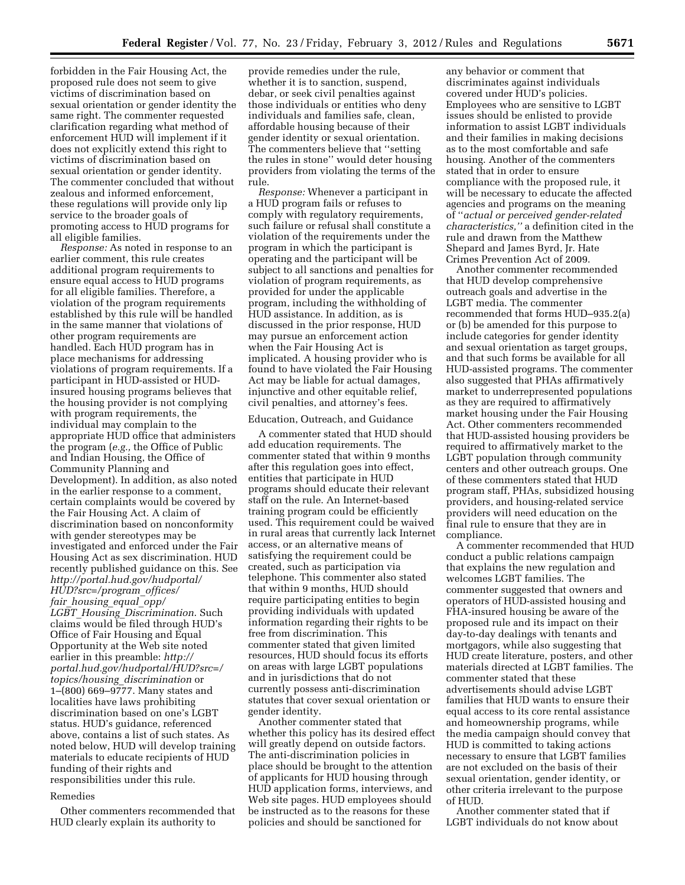forbidden in the Fair Housing Act, the proposed rule does not seem to give victims of discrimination based on sexual orientation or gender identity the same right. The commenter requested clarification regarding what method of enforcement HUD will implement if it does not explicitly extend this right to victims of discrimination based on sexual orientation or gender identity. The commenter concluded that without zealous and informed enforcement, these regulations will provide only lip service to the broader goals of promoting access to HUD programs for all eligible families.

*Response:* As noted in response to an earlier comment, this rule creates additional program requirements to ensure equal access to HUD programs for all eligible families. Therefore, a violation of the program requirements established by this rule will be handled in the same manner that violations of other program requirements are handled. Each HUD program has in place mechanisms for addressing violations of program requirements. If a participant in HUD-assisted or HUDinsured housing programs believes that the housing provider is not complying with program requirements, the individual may complain to the appropriate HUD office that administers the program (*e.g.,* the Office of Public and Indian Housing, the Office of Community Planning and Development). In addition, as also noted in the earlier response to a comment, certain complaints would be covered by the Fair Housing Act. A claim of discrimination based on nonconformity with gender stereotypes may be investigated and enforced under the Fair Housing Act as sex discrimination. HUD recently published guidance on this. See *[http://portal.hud.gov/hudportal/](http://portal.hud.gov/hudportal/HUD?src=/program_offices/fair_housing_equal_opp/LGBT_Housing_Discrimination) [HUD?src=/program](http://portal.hud.gov/hudportal/HUD?src=/program_offices/fair_housing_equal_opp/LGBT_Housing_Discrimination)*\_*offices/ fair*\_*[housing](http://portal.hud.gov/hudportal/HUD?src=/program_offices/fair_housing_equal_opp/LGBT_Housing_Discrimination)*\_*equal*\_*opp/ LGBT*\_*Housing*\_*[Discrimination](http://portal.hud.gov/hudportal/HUD?src=/program_offices/fair_housing_equal_opp/LGBT_Housing_Discrimination)*. Such claims would be filed through HUD's Office of Fair Housing and Equal Opportunity at the Web site noted earlier in this preamble: *[http://](http://portal.hud.gov/hudportal/HUD?src=/topics/housing_discrimination)  [portal.hud.gov/hudportal/HUD?src=/](http://portal.hud.gov/hudportal/HUD?src=/topics/housing_discrimination) topics/housing*\_*[discrimination](http://portal.hud.gov/hudportal/HUD?src=/topics/housing_discrimination)* or 1–(800) 669–9777. Many states and localities have laws prohibiting discrimination based on one's LGBT status. HUD's guidance, referenced above, contains a list of such states. As noted below, HUD will develop training materials to educate recipients of HUD funding of their rights and responsibilities under this rule.

#### Remedies

Other commenters recommended that HUD clearly explain its authority to

provide remedies under the rule, whether it is to sanction, suspend, debar, or seek civil penalties against those individuals or entities who deny individuals and families safe, clean, affordable housing because of their gender identity or sexual orientation. The commenters believe that ''setting the rules in stone'' would deter housing providers from violating the terms of the rule.

*Response:* Whenever a participant in a HUD program fails or refuses to comply with regulatory requirements, such failure or refusal shall constitute a violation of the requirements under the program in which the participant is operating and the participant will be subject to all sanctions and penalties for violation of program requirements, as provided for under the applicable program, including the withholding of HUD assistance. In addition, as is discussed in the prior response, HUD may pursue an enforcement action when the Fair Housing Act is implicated. A housing provider who is found to have violated the Fair Housing Act may be liable for actual damages, injunctive and other equitable relief, civil penalties, and attorney's fees.

#### Education, Outreach, and Guidance

A commenter stated that HUD should add education requirements. The commenter stated that within 9 months after this regulation goes into effect, entities that participate in HUD programs should educate their relevant staff on the rule. An Internet-based training program could be efficiently used. This requirement could be waived in rural areas that currently lack Internet access, or an alternative means of satisfying the requirement could be created, such as participation via telephone. This commenter also stated that within 9 months, HUD should require participating entities to begin providing individuals with updated information regarding their rights to be free from discrimination. This commenter stated that given limited resources, HUD should focus its efforts on areas with large LGBT populations and in jurisdictions that do not currently possess anti-discrimination statutes that cover sexual orientation or gender identity.

Another commenter stated that whether this policy has its desired effect will greatly depend on outside factors. The anti-discrimination policies in place should be brought to the attention of applicants for HUD housing through HUD application forms, interviews, and Web site pages. HUD employees should be instructed as to the reasons for these policies and should be sanctioned for

any behavior or comment that discriminates against individuals covered under HUD's policies. Employees who are sensitive to LGBT issues should be enlisted to provide information to assist LGBT individuals and their families in making decisions as to the most comfortable and safe housing. Another of the commenters stated that in order to ensure compliance with the proposed rule, it will be necessary to educate the affected agencies and programs on the meaning of ''*actual or perceived gender-related characteristics,''* a definition cited in the rule and drawn from the Matthew Shepard and James Byrd, Jr. Hate Crimes Prevention Act of 2009.

Another commenter recommended that HUD develop comprehensive outreach goals and advertise in the LGBT media. The commenter recommended that forms HUD–935.2(a) or (b) be amended for this purpose to include categories for gender identity and sexual orientation as target groups, and that such forms be available for all HUD-assisted programs. The commenter also suggested that PHAs affirmatively market to underrepresented populations as they are required to affirmatively market housing under the Fair Housing Act. Other commenters recommended that HUD-assisted housing providers be required to affirmatively market to the LGBT population through community centers and other outreach groups. One of these commenters stated that HUD program staff, PHAs, subsidized housing providers, and housing-related service providers will need education on the final rule to ensure that they are in compliance.

A commenter recommended that HUD conduct a public relations campaign that explains the new regulation and welcomes LGBT families. The commenter suggested that owners and operators of HUD-assisted housing and FHA-insured housing be aware of the proposed rule and its impact on their day-to-day dealings with tenants and mortgagors, while also suggesting that HUD create literature, posters, and other materials directed at LGBT families. The commenter stated that these advertisements should advise LGBT families that HUD wants to ensure their equal access to its core rental assistance and homeownership programs, while the media campaign should convey that HUD is committed to taking actions necessary to ensure that LGBT families are not excluded on the basis of their sexual orientation, gender identity, or other criteria irrelevant to the purpose of HUD.

Another commenter stated that if LGBT individuals do not know about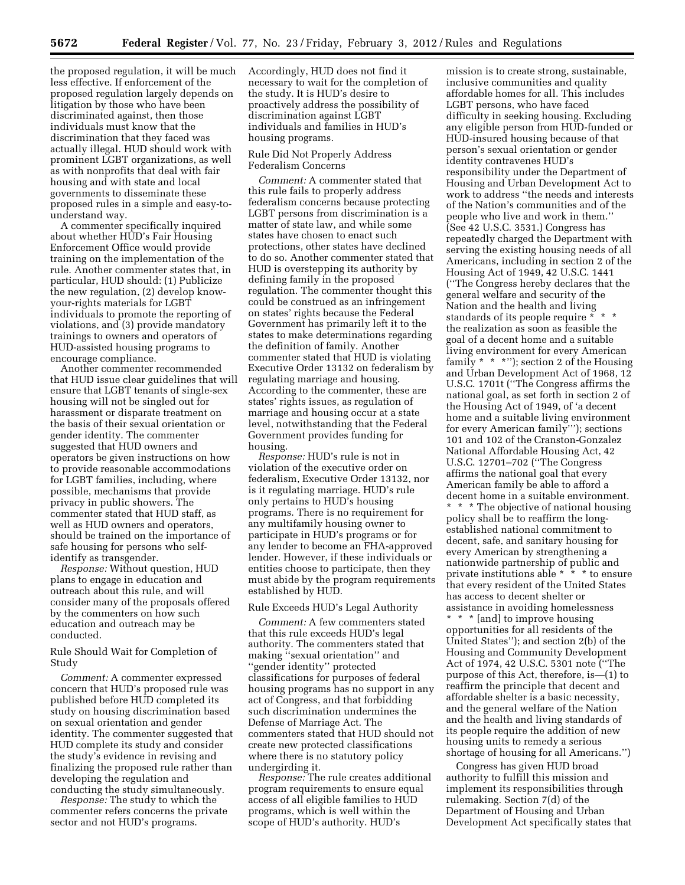the proposed regulation, it will be much less effective. If enforcement of the proposed regulation largely depends on litigation by those who have been discriminated against, then those individuals must know that the discrimination that they faced was actually illegal. HUD should work with prominent LGBT organizations, as well as with nonprofits that deal with fair housing and with state and local governments to disseminate these proposed rules in a simple and easy-tounderstand way.

A commenter specifically inquired about whether HUD's Fair Housing Enforcement Office would provide training on the implementation of the rule. Another commenter states that, in particular, HUD should: (1) Publicize the new regulation, (2) develop knowyour-rights materials for LGBT individuals to promote the reporting of violations, and (3) provide mandatory trainings to owners and operators of HUD-assisted housing programs to encourage compliance.

Another commenter recommended that HUD issue clear guidelines that will ensure that LGBT tenants of single-sex housing will not be singled out for harassment or disparate treatment on the basis of their sexual orientation or gender identity. The commenter suggested that HUD owners and operators be given instructions on how to provide reasonable accommodations for LGBT families, including, where possible, mechanisms that provide privacy in public showers. The commenter stated that HUD staff, as well as HUD owners and operators, should be trained on the importance of safe housing for persons who selfidentify as transgender.

*Response:* Without question, HUD plans to engage in education and outreach about this rule, and will consider many of the proposals offered by the commenters on how such education and outreach may be conducted.

### Rule Should Wait for Completion of Study

*Comment:* A commenter expressed concern that HUD's proposed rule was published before HUD completed its study on housing discrimination based on sexual orientation and gender identity. The commenter suggested that HUD complete its study and consider the study's evidence in revising and finalizing the proposed rule rather than developing the regulation and conducting the study simultaneously.

*Response:* The study to which the commenter refers concerns the private sector and not HUD's programs.

Accordingly, HUD does not find it necessary to wait for the completion of the study. It is HUD's desire to proactively address the possibility of discrimination against LGBT individuals and families in HUD's housing programs.

### Rule Did Not Properly Address Federalism Concerns

*Comment:* A commenter stated that this rule fails to properly address federalism concerns because protecting LGBT persons from discrimination is a matter of state law, and while some states have chosen to enact such protections, other states have declined to do so. Another commenter stated that HUD is overstepping its authority by defining family in the proposed regulation. The commenter thought this could be construed as an infringement on states' rights because the Federal Government has primarily left it to the states to make determinations regarding the definition of family. Another commenter stated that HUD is violating Executive Order 13132 on federalism by regulating marriage and housing. According to the commenter, these are states' rights issues, as regulation of marriage and housing occur at a state level, notwithstanding that the Federal Government provides funding for housing.

*Response:* HUD's rule is not in violation of the executive order on federalism, Executive Order 13132, nor is it regulating marriage. HUD's rule only pertains to HUD's housing programs. There is no requirement for any multifamily housing owner to participate in HUD's programs or for any lender to become an FHA-approved lender. However, if these individuals or entities choose to participate, then they must abide by the program requirements established by HUD.

#### Rule Exceeds HUD's Legal Authority

*Comment:* A few commenters stated that this rule exceeds HUD's legal authority. The commenters stated that making ''sexual orientation'' and ''gender identity'' protected classifications for purposes of federal housing programs has no support in any act of Congress, and that forbidding such discrimination undermines the Defense of Marriage Act. The commenters stated that HUD should not create new protected classifications where there is no statutory policy undergirding it.

*Response:* The rule creates additional program requirements to ensure equal access of all eligible families to HUD programs, which is well within the scope of HUD's authority. HUD's

mission is to create strong, sustainable, inclusive communities and quality affordable homes for all. This includes LGBT persons, who have faced difficulty in seeking housing. Excluding any eligible person from HUD-funded or HUD-insured housing because of that person's sexual orientation or gender identity contravenes HUD's responsibility under the Department of Housing and Urban Development Act to work to address ''the needs and interests of the Nation's communities and of the people who live and work in them.'' (See 42 U.S.C. 3531.) Congress has repeatedly charged the Department with serving the existing housing needs of all Americans, including in section 2 of the Housing Act of 1949, 42 U.S.C. 1441 (''The Congress hereby declares that the general welfare and security of the Nation and the health and living standards of its people require \* \* \* the realization as soon as feasible the goal of a decent home and a suitable living environment for every American family \* \* \*''); section 2 of the Housing and Urban Development Act of 1968, 12 U.S.C. 1701t (''The Congress affirms the national goal, as set forth in section 2 of the Housing Act of 1949, of 'a decent home and a suitable living environment for every American family'''); sections 101 and 102 of the Cranston-Gonzalez National Affordable Housing Act, 42 U.S.C. 12701–702 (''The Congress affirms the national goal that every American family be able to afford a decent home in a suitable environment.

\* \* \* The objective of national housing policy shall be to reaffirm the longestablished national commitment to decent, safe, and sanitary housing for every American by strengthening a nationwide partnership of public and private institutions able \* \* \* to ensure that every resident of the United States has access to decent shelter or assistance in avoiding homelessness \* \* \* [and] to improve housing opportunities for all residents of the United States''); and section 2(b) of the Housing and Community Development Act of 1974, 42 U.S.C. 5301 note (''The purpose of this Act, therefore, is—(1) to reaffirm the principle that decent and affordable shelter is a basic necessity, and the general welfare of the Nation and the health and living standards of its people require the addition of new housing units to remedy a serious shortage of housing for all Americans.'')

Congress has given HUD broad authority to fulfill this mission and implement its responsibilities through rulemaking. Section 7(d) of the Department of Housing and Urban Development Act specifically states that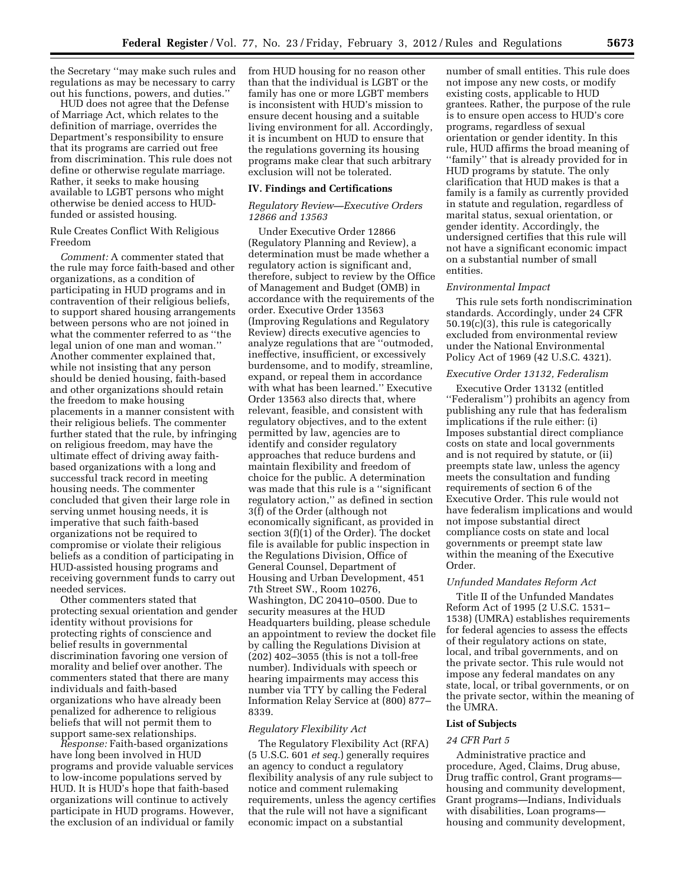the Secretary ''may make such rules and regulations as may be necessary to carry out his functions, powers, and duties.''

HUD does not agree that the Defense of Marriage Act, which relates to the definition of marriage, overrides the Department's responsibility to ensure that its programs are carried out free from discrimination. This rule does not define or otherwise regulate marriage. Rather, it seeks to make housing available to LGBT persons who might otherwise be denied access to HUDfunded or assisted housing.

### Rule Creates Conflict With Religious Freedom

*Comment:* A commenter stated that the rule may force faith-based and other organizations, as a condition of participating in HUD programs and in contravention of their religious beliefs, to support shared housing arrangements between persons who are not joined in what the commenter referred to as ''the legal union of one man and woman.'' Another commenter explained that, while not insisting that any person should be denied housing, faith-based and other organizations should retain the freedom to make housing placements in a manner consistent with their religious beliefs. The commenter further stated that the rule, by infringing on religious freedom, may have the ultimate effect of driving away faithbased organizations with a long and successful track record in meeting housing needs. The commenter concluded that given their large role in serving unmet housing needs, it is imperative that such faith-based organizations not be required to compromise or violate their religious beliefs as a condition of participating in HUD-assisted housing programs and receiving government funds to carry out needed services.

Other commenters stated that protecting sexual orientation and gender identity without provisions for protecting rights of conscience and belief results in governmental discrimination favoring one version of morality and belief over another. The commenters stated that there are many individuals and faith-based organizations who have already been penalized for adherence to religious beliefs that will not permit them to support same-sex relationships.

*Response:* Faith-based organizations have long been involved in HUD programs and provide valuable services to low-income populations served by HUD. It is HUD's hope that faith-based organizations will continue to actively participate in HUD programs. However, the exclusion of an individual or family from HUD housing for no reason other than that the individual is LGBT or the family has one or more LGBT members is inconsistent with HUD's mission to ensure decent housing and a suitable living environment for all. Accordingly, it is incumbent on HUD to ensure that the regulations governing its housing programs make clear that such arbitrary exclusion will not be tolerated.

### **IV. Findings and Certifications**

#### *Regulatory Review—Executive Orders 12866 and 13563*

Under Executive Order 12866 (Regulatory Planning and Review), a determination must be made whether a regulatory action is significant and, therefore, subject to review by the Office of Management and Budget (OMB) in accordance with the requirements of the order. Executive Order 13563 (Improving Regulations and Regulatory Review) directs executive agencies to analyze regulations that are ''outmoded, ineffective, insufficient, or excessively burdensome, and to modify, streamline, expand, or repeal them in accordance with what has been learned.'' Executive Order 13563 also directs that, where relevant, feasible, and consistent with regulatory objectives, and to the extent permitted by law, agencies are to identify and consider regulatory approaches that reduce burdens and maintain flexibility and freedom of choice for the public. A determination was made that this rule is a ''significant regulatory action,'' as defined in section 3(f) of the Order (although not economically significant, as provided in section 3(f)(1) of the Order). The docket file is available for public inspection in the Regulations Division, Office of General Counsel, Department of Housing and Urban Development, 451 7th Street SW., Room 10276, Washington, DC 20410–0500. Due to security measures at the HUD Headquarters building, please schedule an appointment to review the docket file by calling the Regulations Division at (202) 402–3055 (this is not a toll-free number). Individuals with speech or hearing impairments may access this number via TTY by calling the Federal Information Relay Service at (800) 877– 8339.

#### *Regulatory Flexibility Act*

The Regulatory Flexibility Act (RFA) (5 U.S.C. 601 *et seq.*) generally requires an agency to conduct a regulatory flexibility analysis of any rule subject to notice and comment rulemaking requirements, unless the agency certifies that the rule will not have a significant economic impact on a substantial

number of small entities. This rule does not impose any new costs, or modify existing costs, applicable to HUD grantees. Rather, the purpose of the rule is to ensure open access to HUD's core programs, regardless of sexual orientation or gender identity. In this rule, HUD affirms the broad meaning of ''family'' that is already provided for in HUD programs by statute. The only clarification that HUD makes is that a family is a family as currently provided in statute and regulation, regardless of marital status, sexual orientation, or gender identity. Accordingly, the undersigned certifies that this rule will not have a significant economic impact on a substantial number of small entities.

#### *Environmental Impact*

This rule sets forth nondiscrimination standards. Accordingly, under 24 CFR 50.19(c)(3), this rule is categorically excluded from environmental review under the National Environmental Policy Act of 1969 (42 U.S.C. 4321).

#### *Executive Order 13132, Federalism*

Executive Order 13132 (entitled ''Federalism'') prohibits an agency from publishing any rule that has federalism implications if the rule either: (i) Imposes substantial direct compliance costs on state and local governments and is not required by statute, or (ii) preempts state law, unless the agency meets the consultation and funding requirements of section 6 of the Executive Order. This rule would not have federalism implications and would not impose substantial direct compliance costs on state and local governments or preempt state law within the meaning of the Executive Order.

#### *Unfunded Mandates Reform Act*

Title II of the Unfunded Mandates Reform Act of 1995 (2 U.S.C. 1531– 1538) (UMRA) establishes requirements for federal agencies to assess the effects of their regulatory actions on state, local, and tribal governments, and on the private sector. This rule would not impose any federal mandates on any state, local, or tribal governments, or on the private sector, within the meaning of the UMRA.

#### **List of Subjects**

### *24 CFR Part 5*

Administrative practice and procedure, Aged, Claims, Drug abuse, Drug traffic control, Grant programs housing and community development, Grant programs—Indians, Individuals with disabilities, Loan programs housing and community development,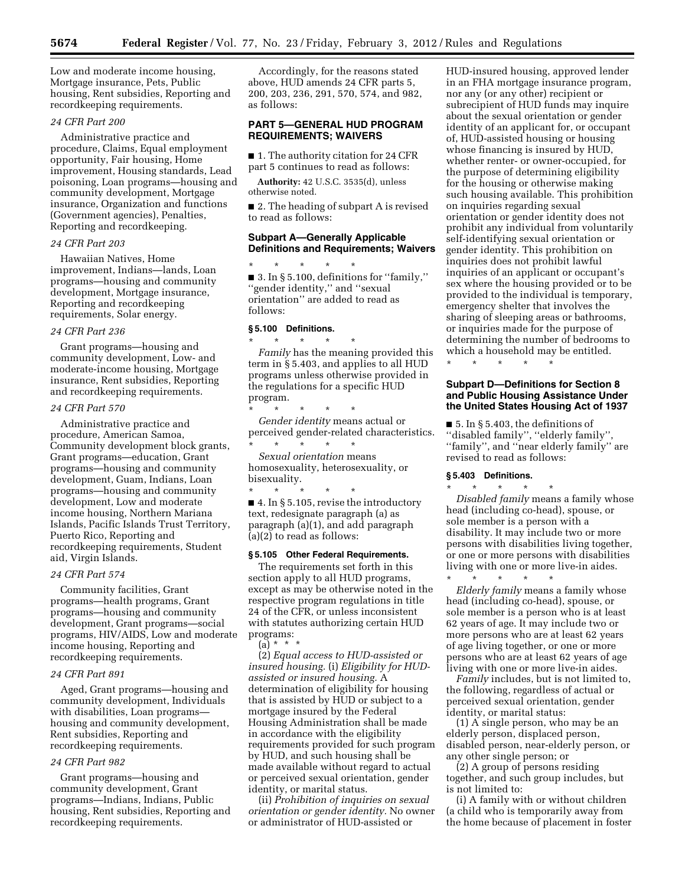Low and moderate income housing, Mortgage insurance, Pets, Public housing, Rent subsidies, Reporting and recordkeeping requirements.

# *24 CFR Part 200*

Administrative practice and procedure, Claims, Equal employment opportunity, Fair housing, Home improvement, Housing standards, Lead poisoning, Loan programs—housing and community development, Mortgage insurance, Organization and functions (Government agencies), Penalties, Reporting and recordkeeping.

### *24 CFR Part 203*

Hawaiian Natives, Home improvement, Indians—lands, Loan programs—housing and community development, Mortgage insurance, Reporting and recordkeeping requirements, Solar energy.

#### *24 CFR Part 236*

Grant programs—housing and community development, Low- and moderate-income housing, Mortgage insurance, Rent subsidies, Reporting and recordkeeping requirements.

#### *24 CFR Part 570*

Administrative practice and procedure, American Samoa, Community development block grants, Grant programs—education, Grant programs—housing and community development, Guam, Indians, Loan programs—housing and community development, Low and moderate income housing, Northern Mariana Islands, Pacific Islands Trust Territory, Puerto Rico, Reporting and recordkeeping requirements, Student aid, Virgin Islands.

### *24 CFR Part 574*

Community facilities, Grant programs—health programs, Grant programs—housing and community development, Grant programs—social programs, HIV/AIDS, Low and moderate income housing, Reporting and recordkeeping requirements.

#### *24 CFR Part 891*

Aged, Grant programs—housing and community development, Individuals with disabilities, Loan programs housing and community development, Rent subsidies, Reporting and recordkeeping requirements.

# *24 CFR Part 982*

Grant programs—housing and community development, Grant programs—Indians, Indians, Public housing, Rent subsidies, Reporting and recordkeeping requirements.

Accordingly, for the reasons stated above, HUD amends 24 CFR parts 5, 200, 203, 236, 291, 570, 574, and 982, as follows:

### **PART 5—GENERAL HUD PROGRAM REQUIREMENTS; WAIVERS**

■ 1. The authority citation for 24 CFR part 5 continues to read as follows:

**Authority:** 42 U.S.C. 3535(d), unless otherwise noted.

■ 2. The heading of subpart A is revised to read as follows:

### **Subpart A—Generally Applicable Definitions and Requirements; Waivers**

\* \* \* \* \* ■ 3. In § 5.100, definitions for ''family,'' ''gender identity,'' and ''sexual orientation'' are added to read as follows:

#### **§ 5.100 Definitions.**

\* \* \* \* \* *Family* has the meaning provided this term in § 5.403, and applies to all HUD programs unless otherwise provided in the regulations for a specific HUD program.

\* \* \* \* \* *Gender identity* means actual or perceived gender-related characteristics. \* \* \* \* \*

*Sexual orientation* means homosexuality, heterosexuality, or bisexuality.

\* \* \* \* \* ■ 4. In § 5.105, revise the introductory text, redesignate paragraph (a) as paragraph (a)(1), and add paragraph (a)(2) to read as follows:

#### **§ 5.105 Other Federal Requirements.**

The requirements set forth in this section apply to all HUD programs, except as may be otherwise noted in the respective program regulations in title 24 of the CFR, or unless inconsistent with statutes authorizing certain HUD programs:  $(a) * *$ 

(2) *Equal access to HUD-assisted or insured housing.* (i) *Eligibility for HUDassisted or insured housing.* A determination of eligibility for housing that is assisted by HUD or subject to a mortgage insured by the Federal Housing Administration shall be made in accordance with the eligibility requirements provided for such program by HUD, and such housing shall be made available without regard to actual or perceived sexual orientation, gender identity, or marital status.

(ii) *Prohibition of inquiries on sexual orientation or gender identity.* No owner or administrator of HUD-assisted or

HUD-insured housing, approved lender in an FHA mortgage insurance program, nor any (or any other) recipient or subrecipient of HUD funds may inquire about the sexual orientation or gender identity of an applicant for, or occupant of, HUD-assisted housing or housing whose financing is insured by HUD, whether renter- or owner-occupied, for the purpose of determining eligibility for the housing or otherwise making such housing available. This prohibition on inquiries regarding sexual orientation or gender identity does not prohibit any individual from voluntarily self-identifying sexual orientation or gender identity. This prohibition on inquiries does not prohibit lawful inquiries of an applicant or occupant's sex where the housing provided or to be provided to the individual is temporary, emergency shelter that involves the sharing of sleeping areas or bathrooms, or inquiries made for the purpose of determining the number of bedrooms to which a household may be entitled.

\* \* \* \* \*

### **Subpart D—Definitions for Section 8 and Public Housing Assistance Under the United States Housing Act of 1937**

■ 5. In § 5.403, the definitions of ''disabled family'', ''elderly family'', ''family'', and ''near elderly family'' are revised to read as follows:

#### **§ 5.403 Definitions.**

\* \* \* \* \* *Disabled family* means a family whose head (including co-head), spouse, or sole member is a person with a disability. It may include two or more persons with disabilities living together, or one or more persons with disabilities living with one or more live-in aides.

\* \* \* \* \* *Elderly family* means a family whose head (including co-head), spouse, or sole member is a person who is at least 62 years of age. It may include two or more persons who are at least 62 years of age living together, or one or more persons who are at least 62 years of age living with one or more live-in aides.

*Family* includes, but is not limited to, the following, regardless of actual or perceived sexual orientation, gender identity, or marital status:

(1) A single person, who may be an elderly person, displaced person, disabled person, near-elderly person, or any other single person; or

(2) A group of persons residing together, and such group includes, but is not limited to:

(i) A family with or without children (a child who is temporarily away from the home because of placement in foster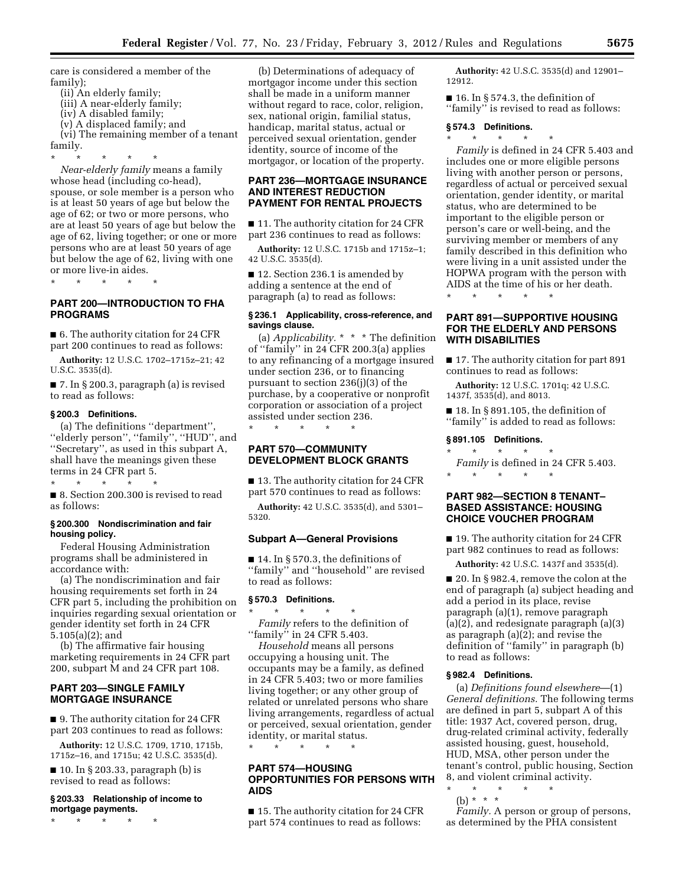care is considered a member of the family);

- (ii) An elderly family;
- (iii) A near-elderly family;
- (iv) A disabled family;
- (v) A displaced family; and

(vi) The remaining member of a tenant family.

\* \* \* \* \*

*Near-elderly family* means a family whose head (including co-head), spouse, or sole member is a person who is at least 50 years of age but below the age of 62; or two or more persons, who are at least 50 years of age but below the age of 62, living together; or one or more persons who are at least 50 years of age but below the age of 62, living with one or more live-in aides.

\* \* \* \* \*

### **PART 200—INTRODUCTION TO FHA PROGRAMS**

■ 6. The authority citation for 24 CFR part 200 continues to read as follows:

**Authority:** 12 U.S.C. 1702–1715z–21; 42 U.S.C. 3535(d).

■ 7. In § 200.3, paragraph (a) is revised to read as follows:

#### **§ 200.3 Definitions.**

(a) The definitions ''department'', ''elderly person'', ''family'', ''HUD'', and ''Secretary'', as used in this subpart A, shall have the meanings given these terms in 24 CFR part 5.

\* \* \* \* \*

■ 8. Section 200.300 is revised to read as follows:

#### **§ 200.300 Nondiscrimination and fair housing policy.**

Federal Housing Administration programs shall be administered in accordance with:

(a) The nondiscrimination and fair housing requirements set forth in 24 CFR part 5, including the prohibition on inquiries regarding sexual orientation or gender identity set forth in 24 CFR 5.105(a)(2); and

(b) The affirmative fair housing marketing requirements in 24 CFR part 200, subpart M and 24 CFR part 108.

# **PART 203—SINGLE FAMILY MORTGAGE INSURANCE**

■ 9. The authority citation for 24 CFR part 203 continues to read as follows:

**Authority:** 12 U.S.C. 1709, 1710, 1715b, 1715z–16, and 1715u; 42 U.S.C. 3535(d).

■ 10. In § 203.33, paragraph (b) is revised to read as follows:

### **§ 203.33 Relationship of income to mortgage payments.**

\* \* \* \* \*

(b) Determinations of adequacy of mortgagor income under this section shall be made in a uniform manner without regard to race, color, religion, sex, national origin, familial status, handicap, marital status, actual or perceived sexual orientation, gender identity, source of income of the mortgagor, or location of the property.

### **PART 236—MORTGAGE INSURANCE AND INTEREST REDUCTION PAYMENT FOR RENTAL PROJECTS**

■ 11. The authority citation for 24 CFR part 236 continues to read as follows:

**Authority:** 12 U.S.C. 1715b and 1715z–1; 42 U.S.C. 3535(d).

■ 12. Section 236.1 is amended by adding a sentence at the end of paragraph (a) to read as follows:

#### **§ 236.1 Applicability, cross-reference, and savings clause.**

(a) *Applicability.* \* \* \* The definition of ''family'' in 24 CFR 200.3(a) applies to any refinancing of a mortgage insured under section 236, or to financing pursuant to section 236(j)(3) of the purchase, by a cooperative or nonprofit corporation or association of a project assisted under section 236.

\* \* \* \* \*

# **PART 570—COMMUNITY DEVELOPMENT BLOCK GRANTS**

■ 13. The authority citation for 24 CFR part 570 continues to read as follows:

**Authority:** 42 U.S.C. 3535(d), and 5301– 5320.

### **Subpart A—General Provisions**

 $\blacksquare$  14. In § 570.3, the definitions of ''family'' and ''household'' are revised to read as follows:

# **§ 570.3 Definitions.**

\* \* \* \* \* *Family* refers to the definition of "family" in 24 CFR 5.403.

*Household* means all persons occupying a housing unit. The occupants may be a family, as defined in 24 CFR 5.403; two or more families living together; or any other group of related or unrelated persons who share living arrangements, regardless of actual or perceived, sexual orientation, gender identity, or marital status.

# **PART 574—HOUSING OPPORTUNITIES FOR PERSONS WITH**

\* \* \* \* \*

**AIDS** 

■ 15. The authority citation for 24 CFR part 574 continues to read as follows:

**Authority:** 42 U.S.C. 3535(d) and 12901– 12912.

 $\blacksquare$  16. In § 574.3, the definition of ''family'' is revised to read as follows:

### **§ 574.3 Definitions.**

\* \* \* \* \* *Family* is defined in 24 CFR 5.403 and includes one or more eligible persons living with another person or persons, regardless of actual or perceived sexual orientation, gender identity, or marital status, who are determined to be important to the eligible person or person's care or well-being, and the surviving member or members of any family described in this definition who were living in a unit assisted under the HOPWA program with the person with AIDS at the time of his or her death.

# **PART 891—SUPPORTIVE HOUSING FOR THE ELDERLY AND PERSONS WITH DISABILITIES**

■ 17. The authority citation for part 891 continues to read as follows:

**Authority:** 12 U.S.C. 1701q; 42 U.S.C. 1437f, 3535(d), and 8013.

 $\blacksquare$  18. In § 891.105, the definition of ''family'' is added to read as follows:

### **§ 891.105 Definitions.**

\* \* \* \* \*

\* \* \* \* \* *Family* is defined in 24 CFR 5.403.

 $\star$   $\qquad$   $\star$   $\qquad$   $\star$ 

### **PART 982—SECTION 8 TENANT– BASED ASSISTANCE: HOUSING CHOICE VOUCHER PROGRAM**

■ 19. The authority citation for 24 CFR part 982 continues to read as follows:

**Authority:** 42 U.S.C. 1437f and 3535(d).

■ 20. In § 982.4, remove the colon at the end of paragraph (a) subject heading and add a period in its place, revise paragraph (a)(1), remove paragraph (a)(2), and redesignate paragraph (a)(3) as paragraph (a)(2); and revise the definition of ''family'' in paragraph (b) to read as follows:

### **§ 982.4 Definitions.**

(a) *Definitions found elsewhere*—(1) *General definitions.* The following terms are defined in part 5, subpart A of this title: 1937 Act, covered person, drug, drug-related criminal activity, federally assisted housing, guest, household, HUD, MSA, other person under the tenant's control, public housing, Section 8, and violent criminal activity.

- \* \* \* \* \*
	- (b) \* \* \*

*Family.* A person or group of persons, as determined by the PHA consistent